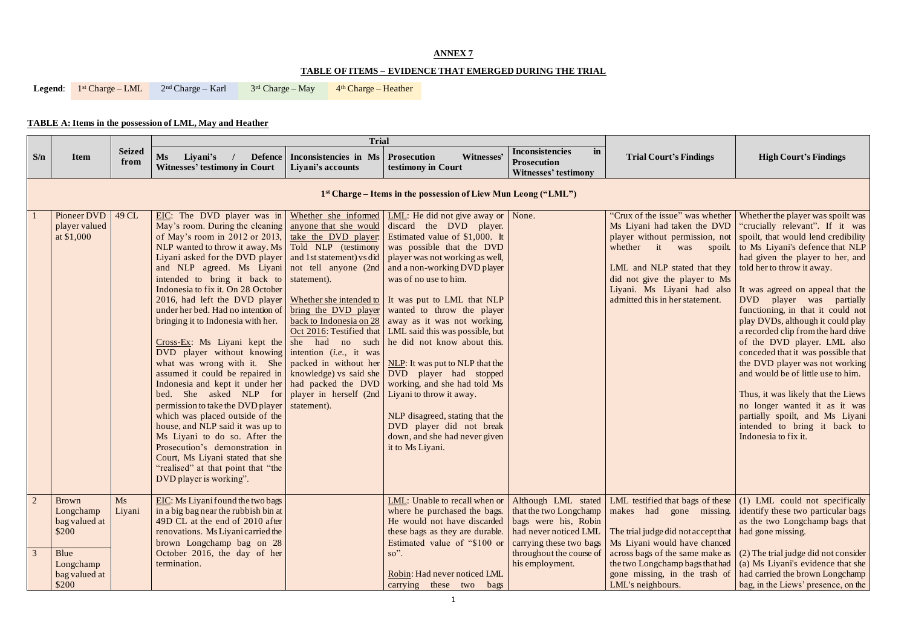| <b>indings</b> |
|----------------|
|----------------|

## **ANNEX 7**

## **TABLE OF ITEMS – EVIDENCE THAT EMERGED DURING THE TRIAL**

**Legend:** 1<sup>st</sup> Charge – LML 2<sup>nd</sup> Charge – Karl 3  $3<sup>rd</sup> Charge - May$  $4<sup>th</sup> Charge - Heather$ 

# **TABLE A: Items in the possession of LML, May and Heather**

|                |                                                                            |                       |                                                                                                                                                                                                                                                                                                                                                                                                                                                                                                                                                                                                                                                                                                                                                                                                                                                                                                                                                                                                                                                                                                                                                                                                                                                                                                                                                                                                                                                                              | <b>Trial</b>                                             |                                                                                                                                                                                                                                                                                                                                                                                                                                    |                                                                                                                           |                                                                                                                                                                                                  |                                                                                                                                                                                                                                                                                                                                                                                                                                                                                                                                                                                                                                                                                                                                                                          |  |  |  |  |
|----------------|----------------------------------------------------------------------------|-----------------------|------------------------------------------------------------------------------------------------------------------------------------------------------------------------------------------------------------------------------------------------------------------------------------------------------------------------------------------------------------------------------------------------------------------------------------------------------------------------------------------------------------------------------------------------------------------------------------------------------------------------------------------------------------------------------------------------------------------------------------------------------------------------------------------------------------------------------------------------------------------------------------------------------------------------------------------------------------------------------------------------------------------------------------------------------------------------------------------------------------------------------------------------------------------------------------------------------------------------------------------------------------------------------------------------------------------------------------------------------------------------------------------------------------------------------------------------------------------------------|----------------------------------------------------------|------------------------------------------------------------------------------------------------------------------------------------------------------------------------------------------------------------------------------------------------------------------------------------------------------------------------------------------------------------------------------------------------------------------------------------|---------------------------------------------------------------------------------------------------------------------------|--------------------------------------------------------------------------------------------------------------------------------------------------------------------------------------------------|--------------------------------------------------------------------------------------------------------------------------------------------------------------------------------------------------------------------------------------------------------------------------------------------------------------------------------------------------------------------------------------------------------------------------------------------------------------------------------------------------------------------------------------------------------------------------------------------------------------------------------------------------------------------------------------------------------------------------------------------------------------------------|--|--|--|--|
| S/n            | <b>Item</b>                                                                | <b>Seized</b><br>from | <b>Ms</b><br>Liyani's<br>Defence<br><b>Witnesses' testimony in Court</b>                                                                                                                                                                                                                                                                                                                                                                                                                                                                                                                                                                                                                                                                                                                                                                                                                                                                                                                                                                                                                                                                                                                                                                                                                                                                                                                                                                                                     | Inconsistencies in Ms   Prosecution<br>Liyani's accounts | Witnesses'<br>testimony in Court                                                                                                                                                                                                                                                                                                                                                                                                   | <b>Inconsistencies</b><br>in<br><b>Prosecution</b><br><b>Witnesses' testimony</b>                                         | <b>Trial Court's Findings</b>                                                                                                                                                                    | <b>High Court's Findings</b>                                                                                                                                                                                                                                                                                                                                                                                                                                                                                                                                                                                                                                                                                                                                             |  |  |  |  |
|                | 1 <sup>st</sup> Charge – Items in the possession of Liew Mun Leong ("LML") |                       |                                                                                                                                                                                                                                                                                                                                                                                                                                                                                                                                                                                                                                                                                                                                                                                                                                                                                                                                                                                                                                                                                                                                                                                                                                                                                                                                                                                                                                                                              |                                                          |                                                                                                                                                                                                                                                                                                                                                                                                                                    |                                                                                                                           |                                                                                                                                                                                                  |                                                                                                                                                                                                                                                                                                                                                                                                                                                                                                                                                                                                                                                                                                                                                                          |  |  |  |  |
|                | Pioneer DVD<br>player valued<br>at \$1,000                                 | 49 CL                 | EIC: The DVD player was in Whether she informed LML: He did not give away or None.<br>May's room. During the cleaning anyone that she would discard the DVD player.<br>of May's room in 2012 or 2013, take the DVD player:<br>NLP wanted to throw it away. Ms   Told NLP (testimony<br>Liyani asked for the DVD player $ $ and 1st statement) vs did<br>and NLP agreed. Ms Liyani not tell anyone (2nd<br>intended to bring it back to statement).<br>Indonesia to fix it. On 28 October<br>2016, had left the DVD player   Whether she intended to   It was put to LML that NLP<br>under her bed. Had no intention of <u>bring the DVD player</u> wanted to throw the player<br>bringing it to Indonesia with her.<br>$Cross-Ex$ : Ms Liyani kept the she had no such he did not know about this.<br>DVD player without knowing intention $(i.e., it was)$<br>what was wrong with it. She   packed in without her $NLP$ : It was put to NLP that the<br>assumed it could be repaired in   knowledge) vs said she   DVD player had stopped<br>Indonesia and kept it under her had packed the DVD<br>bed. She asked NLP for player in herself (2nd Liyani to throw it away.<br>permission to take the DVD player   statement).<br>which was placed outside of the<br>house, and NLP said it was up to<br>Ms Liyani to do so. After the<br>Prosecution's demonstration in<br>Court, Ms Liyani stated that she<br>"realised" at that point that "the<br>DVD player is working". |                                                          | Estimated value of \$1,000. It<br>was possible that the DVD<br>player was not working as well,<br>and a non-working DVD player<br>was of no use to him.<br>back to Indonesia on 28   away as it was not working.<br>Oct 2016: Testified that   LML said this was possible, but<br>working, and she had told Ms<br>NLP disagreed, stating that the<br>DVD player did not break<br>down, and she had never given<br>it to Ms Liyani. |                                                                                                                           | Ms Liyani had taken the DVD<br>LML and NLP stated that they $\vert$ told her to throw it away.<br>did not give the player to Ms<br>Liyani. Ms Liyani had also<br>admitted this in her statement. | "Crux of the issue" was whether Whether the player was spoilt was<br>"crucially relevant". If it was<br>player without permission, not spoilt, that would lend credibility<br>whether it was spoilt. to Ms Liyani's defence that NLP<br>had given the player to her, and<br>It was agreed on appeal that the<br>DVD player was partially<br>functioning, in that it could not<br>play DVDs, although it could play<br>a recorded clip from the hard drive<br>of the DVD player. LML also<br>conceded that it was possible that<br>the DVD player was not working<br>and would be of little use to him.<br>Thus, it was likely that the Liews<br>no longer wanted it as it was<br>partially spoilt, and Ms Liyani<br>intended to bring it back to<br>Indonesia to fix it. |  |  |  |  |
| $\overline{2}$ | <b>Brown</b><br>Longchamp<br>bag valued at<br>\$200                        | Ms<br>Liyani          | EIC: Ms Liyani found the two bags<br>in a big bag near the rubbish bin at<br>49D CL at the end of 2010 after<br>renovations. Ms Liyani carried the<br>brown Longchamp bag on 28                                                                                                                                                                                                                                                                                                                                                                                                                                                                                                                                                                                                                                                                                                                                                                                                                                                                                                                                                                                                                                                                                                                                                                                                                                                                                              |                                                          | LML: Unable to recall when or<br>where he purchased the bags.<br>He would not have discarded<br>these bags as they are durable.<br>Estimated value of "\$100 or                                                                                                                                                                                                                                                                    | Although LML stated<br>that the two Longchamp<br>bags were his, Robin<br>had never noticed LML<br>carrying these two bags | makes had gone missing.<br>The trial judge did not accept that   had gone missing.<br>Ms Liyani would have chanced                                                                               | LML testified that bags of these $(1)$ LML could not specifically<br>identify these two particular bags<br>as the two Longchamp bags that                                                                                                                                                                                                                                                                                                                                                                                                                                                                                                                                                                                                                                |  |  |  |  |
| $\overline{3}$ | Blue<br>Longchamp<br>bag valued at<br>\$200                                |                       | October 2016, the day of her<br>termination.                                                                                                                                                                                                                                                                                                                                                                                                                                                                                                                                                                                                                                                                                                                                                                                                                                                                                                                                                                                                                                                                                                                                                                                                                                                                                                                                                                                                                                 |                                                          | so".<br>Robin: Had never noticed LML<br>carrying these two bags                                                                                                                                                                                                                                                                                                                                                                    | throughout the course of<br>his employment.                                                                               | across bags of the same make as<br>the two Longchamp bags that had<br>gone missing, in the trash of<br>LML's neighbours.                                                                         | (2) The trial judge did not consider<br>(a) Ms Liyani's evidence that she<br>had carried the brown Longchamp<br>bag, in the Liews' presence, on the                                                                                                                                                                                                                                                                                                                                                                                                                                                                                                                                                                                                                      |  |  |  |  |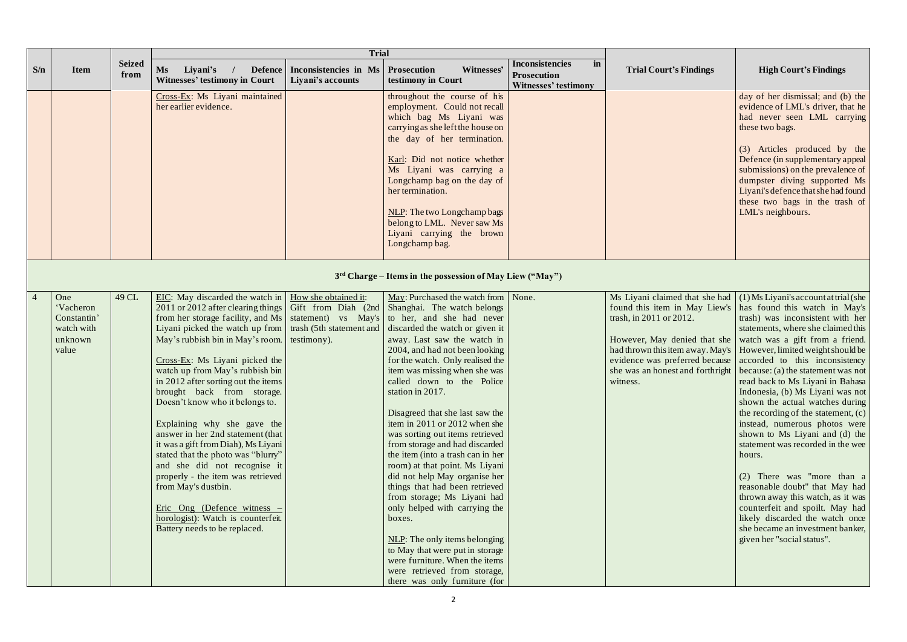|     |                                                                   |                       |                                                                                                                                                                                                                                                                                                                                                                                                                                                                                                                                                                                                                                                                                                                                                                                                                      | <b>Trial</b>                                             |                                                                                                                                                                                                                                                                                                                                                                                                                                                                                                                                                                                                                                                                                                                                                                                                                                                        |                                                                                   |                                                                                                                                                                            |                                                                                                                                                                                                                                                                                                                                                                                                                                                                                                                                                                                                                                                                                                                                                                                                                                                                                       |
|-----|-------------------------------------------------------------------|-----------------------|----------------------------------------------------------------------------------------------------------------------------------------------------------------------------------------------------------------------------------------------------------------------------------------------------------------------------------------------------------------------------------------------------------------------------------------------------------------------------------------------------------------------------------------------------------------------------------------------------------------------------------------------------------------------------------------------------------------------------------------------------------------------------------------------------------------------|----------------------------------------------------------|--------------------------------------------------------------------------------------------------------------------------------------------------------------------------------------------------------------------------------------------------------------------------------------------------------------------------------------------------------------------------------------------------------------------------------------------------------------------------------------------------------------------------------------------------------------------------------------------------------------------------------------------------------------------------------------------------------------------------------------------------------------------------------------------------------------------------------------------------------|-----------------------------------------------------------------------------------|----------------------------------------------------------------------------------------------------------------------------------------------------------------------------|---------------------------------------------------------------------------------------------------------------------------------------------------------------------------------------------------------------------------------------------------------------------------------------------------------------------------------------------------------------------------------------------------------------------------------------------------------------------------------------------------------------------------------------------------------------------------------------------------------------------------------------------------------------------------------------------------------------------------------------------------------------------------------------------------------------------------------------------------------------------------------------|
| S/n | <b>Item</b>                                                       | <b>Seized</b><br>from | <b>Ms</b><br>Liyani's<br><b>Defence</b><br><b>Witnesses' testimony in Court</b>                                                                                                                                                                                                                                                                                                                                                                                                                                                                                                                                                                                                                                                                                                                                      | Inconsistencies in Ms   Prosecution<br>Liyani's accounts | Witnesses'<br>testimony in Court                                                                                                                                                                                                                                                                                                                                                                                                                                                                                                                                                                                                                                                                                                                                                                                                                       | <b>Inconsistencies</b><br>in<br><b>Prosecution</b><br><b>Witnesses' testimony</b> | <b>Trial Court's Findings</b>                                                                                                                                              | <b>High Court's Findings</b>                                                                                                                                                                                                                                                                                                                                                                                                                                                                                                                                                                                                                                                                                                                                                                                                                                                          |
|     |                                                                   |                       | Cross-Ex: Ms Liyani maintained<br>her earlier evidence.                                                                                                                                                                                                                                                                                                                                                                                                                                                                                                                                                                                                                                                                                                                                                              |                                                          | throughout the course of his<br>employment. Could not recall<br>which bag Ms Liyani was<br>carrying as she left the house on<br>the day of her termination.<br>Karl: Did not notice whether<br>Ms Liyani was carrying a<br>Longchamp bag on the day of<br>her termination.<br>NLP: The two Longchamp bags<br>belong to LML. Never saw Ms<br>Liyani carrying the brown<br>Longchamp bag.                                                                                                                                                                                                                                                                                                                                                                                                                                                                |                                                                                   |                                                                                                                                                                            | day of her dismissal; and (b) the<br>evidence of LML's driver, that he<br>had never seen LML carrying<br>these two bags.<br>(3) Articles produced by the<br>Defence (in supplementary appeal)<br>submissions) on the prevalence of<br>dumpster diving supported Ms<br>Liyani's defence that she had found<br>these two bags in the trash of<br>LML's neighbours.                                                                                                                                                                                                                                                                                                                                                                                                                                                                                                                      |
|     |                                                                   |                       |                                                                                                                                                                                                                                                                                                                                                                                                                                                                                                                                                                                                                                                                                                                                                                                                                      |                                                          | 3rd Charge – Items in the possession of May Liew ("May")                                                                                                                                                                                                                                                                                                                                                                                                                                                                                                                                                                                                                                                                                                                                                                                               |                                                                                   |                                                                                                                                                                            |                                                                                                                                                                                                                                                                                                                                                                                                                                                                                                                                                                                                                                                                                                                                                                                                                                                                                       |
|     | One<br>'Vacheron<br>Constantin'<br>watch with<br>unknown<br>value | 49 CL                 | EIC: May discarded the watch in   How she obtained it:<br>2011 or 2012 after clearing things<br>from her storage facility, and Ms   statement) vs May's to her, and she had never<br>Liyani picked the watch up from trash (5th statement and<br>May's rubbish bin in May's room.<br>$Cross-Ex$ : Ms Liyani picked the<br>watch up from May's rubbish bin<br>in 2012 after sorting out the items<br>brought back from storage.<br>Doesn't know who it belongs to.<br>Explaining why she gave the<br>answer in her 2nd statement (that<br>it was a gift from Diah), Ms Liyani<br>stated that the photo was "blurry"<br>and she did not recognise it<br>properly - the item was retrieved<br>from May's dustbin.<br>Eric Ong (Defence witness –<br>horologist): Watch is counterfeit.<br>Battery needs to be replaced. | testimony).                                              | May: Purchased the watch from   None.<br>Gift from Diah (2nd Shanghai. The watch belongs<br>discarded the watch or given it<br>away. Last saw the watch in<br>2004, and had not been looking<br>for the watch. Only realised the<br>item was missing when she was<br>called down to the Police<br>station in 2017.<br>Disagreed that she last saw the<br>item in 2011 or 2012 when she<br>was sorting out items retrieved<br>from storage and had discarded<br>the item (into a trash can in her<br>room) at that point. Ms Liyani<br>did not help May organise her<br>things that had been retrieved<br>from storage; Ms Liyani had<br>only helped with carrying the<br>boxes.<br>NLP: The only items belonging<br>to May that were put in storage<br>were furniture. When the items<br>were retrieved from storage,<br>there was only furniture (for |                                                                                   | found this item in May Liew's<br>trash, in 2011 or 2012.<br>However, May denied that she<br>evidence was preferred because<br>she was an honest and forthright<br>witness. | Ms Liyani claimed that she had $(1)$ Ms Liyani's account at trial (she<br>has found this watch in May's<br>trash) was inconsistent with her<br>statements, where she claimed this<br>watch was a gift from a friend.<br>had thrown this item away. May's   However, limited weight should be<br>accorded to this inconsistency<br>because: (a) the statement was not<br>read back to Ms Liyani in Bahasa<br>Indonesia, (b) Ms Liyani was not<br>shown the actual watches during<br>the recording of the statement, (c)<br>instead, numerous photos were<br>shown to Ms Liyani and (d) the<br>statement was recorded in the wee<br>hours.<br>(2) There was "more than a<br>reasonable doubt" that May had<br>thrown away this watch, as it was<br>counterfeit and spoilt. May had<br>likely discarded the watch once<br>she became an investment banker,<br>given her "social status". |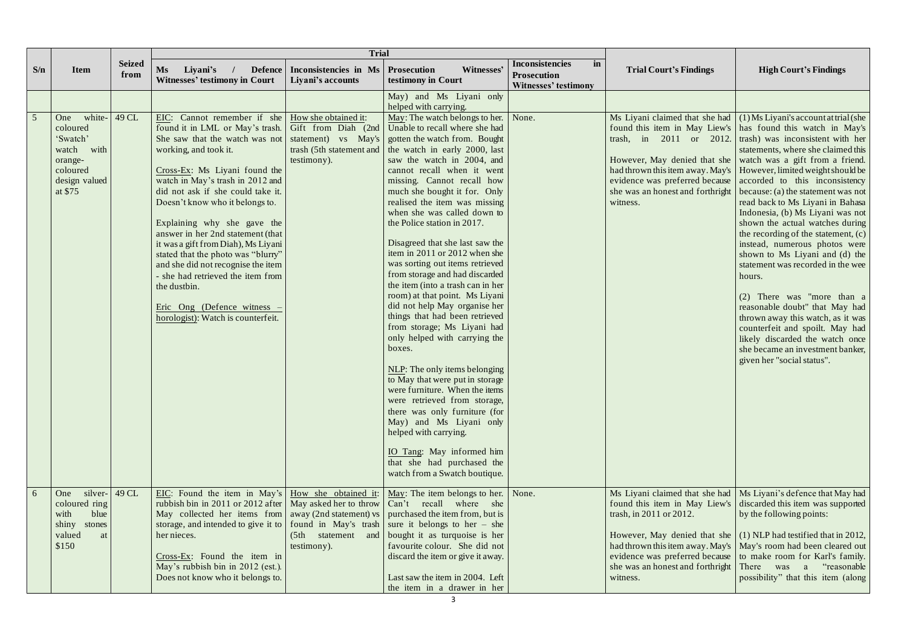|                 |                                                                                                           |                       | <b>Trial</b>                                                                                                                                                                                                                                                                                                                                                                                                                                                                                                                                                                                                                                                                                                          |                                                            |                                                                                                                                                                                                                                                                                                                                                                                                                                                                                                                                                                                                                                                                                                                                                                                                                                                                                                                                                                                                       |                                                                            |                                                          |                                                                                                                                                                                                                                                                                                                                                                                                                                                                                                                                                                                                                                                                                                                                                                                                                                                                                                                                                                                                                                                      |
|-----------------|-----------------------------------------------------------------------------------------------------------|-----------------------|-----------------------------------------------------------------------------------------------------------------------------------------------------------------------------------------------------------------------------------------------------------------------------------------------------------------------------------------------------------------------------------------------------------------------------------------------------------------------------------------------------------------------------------------------------------------------------------------------------------------------------------------------------------------------------------------------------------------------|------------------------------------------------------------|-------------------------------------------------------------------------------------------------------------------------------------------------------------------------------------------------------------------------------------------------------------------------------------------------------------------------------------------------------------------------------------------------------------------------------------------------------------------------------------------------------------------------------------------------------------------------------------------------------------------------------------------------------------------------------------------------------------------------------------------------------------------------------------------------------------------------------------------------------------------------------------------------------------------------------------------------------------------------------------------------------|----------------------------------------------------------------------------|----------------------------------------------------------|------------------------------------------------------------------------------------------------------------------------------------------------------------------------------------------------------------------------------------------------------------------------------------------------------------------------------------------------------------------------------------------------------------------------------------------------------------------------------------------------------------------------------------------------------------------------------------------------------------------------------------------------------------------------------------------------------------------------------------------------------------------------------------------------------------------------------------------------------------------------------------------------------------------------------------------------------------------------------------------------------------------------------------------------------|
| S/n             | <b>Item</b>                                                                                               | <b>Seized</b><br>from | <b>Ms</b><br>Liyani's<br>Defence<br><b>Witnesses' testimony in Court</b>                                                                                                                                                                                                                                                                                                                                                                                                                                                                                                                                                                                                                                              | Inconsistencies in Ms   Prosecution<br>  Liyani's accounts | Witnesses'<br>testimony in Court                                                                                                                                                                                                                                                                                                                                                                                                                                                                                                                                                                                                                                                                                                                                                                                                                                                                                                                                                                      | <b>Inconsistencies</b><br>in<br>Prosecution<br><b>Witnesses' testimony</b> | <b>Trial Court's Findings</b>                            | <b>High Court's Findings</b>                                                                                                                                                                                                                                                                                                                                                                                                                                                                                                                                                                                                                                                                                                                                                                                                                                                                                                                                                                                                                         |
|                 |                                                                                                           |                       |                                                                                                                                                                                                                                                                                                                                                                                                                                                                                                                                                                                                                                                                                                                       |                                                            | May) and Ms Liyani only<br>helped with carrying.                                                                                                                                                                                                                                                                                                                                                                                                                                                                                                                                                                                                                                                                                                                                                                                                                                                                                                                                                      |                                                                            |                                                          |                                                                                                                                                                                                                                                                                                                                                                                                                                                                                                                                                                                                                                                                                                                                                                                                                                                                                                                                                                                                                                                      |
| $5\overline{5}$ | white-<br>One<br>coloured<br>'Swatch'<br>with<br>watch<br>orange-<br>coloured<br>design valued<br>at \$75 | 49 CL                 | EIC: Cannot remember if she   How she obtained it:<br>found it in LML or May's trash. Gift from Diah (2nd Unable to recall where she had<br>She saw that the watch was not statement) vs May's gotten the watch from. Bought<br>working, and took it.<br>Cross-Ex: Ms Liyani found the<br>watch in May's trash in 2012 and<br>did not ask if she could take it.<br>Doesn't know who it belongs to.<br>Explaining why she gave the<br>answer in her 2nd statement (that<br>it was a gift from Diah), Ms Liyani<br>stated that the photo was "blurry"<br>and she did not recognise the item<br>- she had retrieved the item from<br>the dustbin.<br>Eric Ong (Defence witness $-$<br>horologist): Watch is counterfeit. | testimony).                                                | May: The watch belongs to her.<br>trash (5th statement and the watch in early 2000, last<br>saw the watch in 2004, and<br>cannot recall when it went<br>missing. Cannot recall how<br>much she bought it for. Only<br>realised the item was missing<br>when she was called down to<br>the Police station in 2017.<br>Disagreed that she last saw the<br>item in 2011 or 2012 when she<br>was sorting out items retrieved<br>from storage and had discarded<br>the item (into a trash can in her<br>room) at that point. Ms Liyani<br>did not help May organise her<br>things that had been retrieved<br>from storage; Ms Liyani had<br>only helped with carrying the<br>boxes.<br>NLP: The only items belonging<br>to May that were put in storage<br>were furniture. When the items<br>were retrieved from storage,<br>there was only furniture (for<br>May) and Ms Liyani only<br>helped with carrying.<br>IO Tang: May informed him<br>that she had purchased the<br>watch from a Swatch boutique. | None.                                                                      | witness.                                                 | Ms Liyani claimed that she had $(1)$ Ms Liyani's account at trial (she<br>found this item in May Liew's has found this watch in May's<br>trash, in 2011 or 2012. trash) was inconsistent with her<br>statements, where she claimed this<br>However, May denied that she   watch was a gift from a friend.<br>had thrown this item away. May's   However, limited weight should be<br>evidence was preferred because accorded to this inconsistency<br>she was an honest and forthright $\vert$ because: (a) the statement was not<br>read back to Ms Liyani in Bahasa<br>Indonesia, (b) Ms Liyani was not<br>shown the actual watches during<br>the recording of the statement, (c)<br>instead, numerous photos were<br>shown to Ms Liyani and (d) the<br>statement was recorded in the wee<br>hours.<br>$(2)$ There was "more than a<br>reasonable doubt" that May had<br>thrown away this watch, as it was<br>counterfeit and spoilt. May had<br>likely discarded the watch once<br>she became an investment banker,<br>given her "social status". |
| 6               | silver- $\vert$ 49 CL<br>One<br>coloured ring<br>with<br>blue<br>shiny<br>stones<br>valued<br>at<br>\$150 |                       | EIC: Found the item in May's   How she obtained it:<br>rubbish bin in 2011 or 2012 after   May asked her to throw   Can't recall where she<br>May collected her items from $\vert$ away (2nd statement) vs $\vert$ purchased the item from, but is<br>storage, and intended to give it to $\vert$ found in May's trash sure it belongs to her – she<br>her nieces.<br>$Cross-Ex$ : Found the item in                                                                                                                                                                                                                                                                                                                  | testimony).                                                | May: The item belongs to her. None.<br>(5th statement and bought it as turquoise is her<br>favourite colour. She did not<br>discard the item or give it away.                                                                                                                                                                                                                                                                                                                                                                                                                                                                                                                                                                                                                                                                                                                                                                                                                                         |                                                                            | trash, in 2011 or 2012.                                  | Ms Liyani claimed that she had   Ms Liyani's defence that May had<br>found this item in May Liew's discarded this item was supported<br>by the following points:<br>However, May denied that she $(1)$ NLP had testified that in 2012,<br>had thrown this item away. May's   May's room had been cleared out  <br>evidence was preferred because to make room for Karl's family.                                                                                                                                                                                                                                                                                                                                                                                                                                                                                                                                                                                                                                                                     |
|                 |                                                                                                           |                       | May's rubbish bin in 2012 (est.).<br>Does not know who it belongs to.                                                                                                                                                                                                                                                                                                                                                                                                                                                                                                                                                                                                                                                 |                                                            | Last saw the item in 2004. Left<br>the item in a drawer in her                                                                                                                                                                                                                                                                                                                                                                                                                                                                                                                                                                                                                                                                                                                                                                                                                                                                                                                                        |                                                                            | she was an honest and forthright There was a<br>witness. | "reasonable<br>possibility" that this item (along                                                                                                                                                                                                                                                                                                                                                                                                                                                                                                                                                                                                                                                                                                                                                                                                                                                                                                                                                                                                    |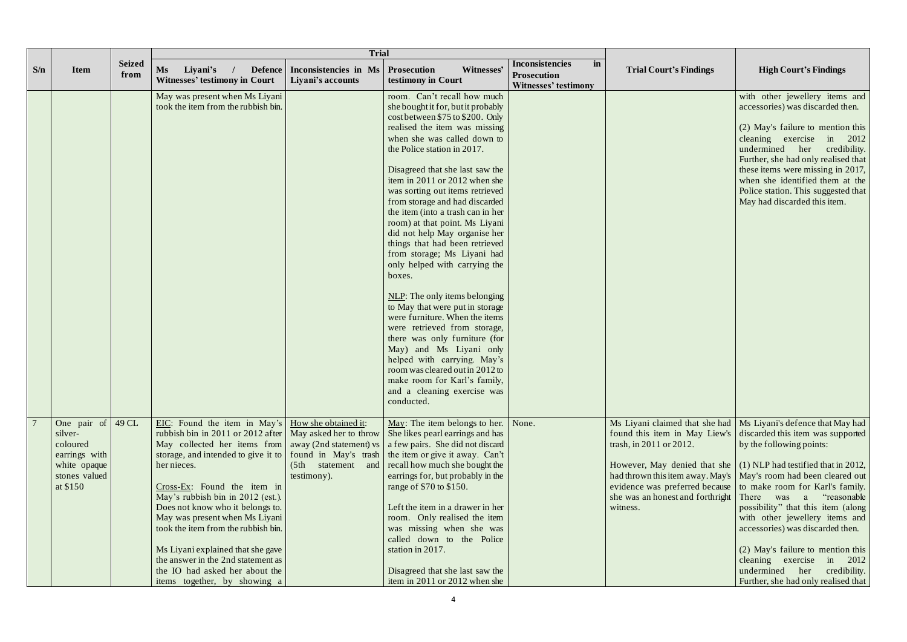|     |                                                                                                  |                       |                                                                                                                                                                                                                                                                                                                                                                                                                                                                                                            | <b>Trial</b>                                                                                                      |                                                                                                                                                                                                                                                                                                                                                                                                                                                                                                                                                                                                                                                                                                                                                                                                                                                                                                                       |                                                                                       |                                                                                                                                                                                                                  |                                                                                                                                                                                                                                                                                                                                                                                                                                                                                                                                            |
|-----|--------------------------------------------------------------------------------------------------|-----------------------|------------------------------------------------------------------------------------------------------------------------------------------------------------------------------------------------------------------------------------------------------------------------------------------------------------------------------------------------------------------------------------------------------------------------------------------------------------------------------------------------------------|-------------------------------------------------------------------------------------------------------------------|-----------------------------------------------------------------------------------------------------------------------------------------------------------------------------------------------------------------------------------------------------------------------------------------------------------------------------------------------------------------------------------------------------------------------------------------------------------------------------------------------------------------------------------------------------------------------------------------------------------------------------------------------------------------------------------------------------------------------------------------------------------------------------------------------------------------------------------------------------------------------------------------------------------------------|---------------------------------------------------------------------------------------|------------------------------------------------------------------------------------------------------------------------------------------------------------------------------------------------------------------|--------------------------------------------------------------------------------------------------------------------------------------------------------------------------------------------------------------------------------------------------------------------------------------------------------------------------------------------------------------------------------------------------------------------------------------------------------------------------------------------------------------------------------------------|
| S/n | <b>Item</b>                                                                                      | <b>Seized</b><br>from | <b>Ms</b><br>Liyani's<br>Defence<br><b>Witnesses' testimony in Court</b>                                                                                                                                                                                                                                                                                                                                                                                                                                   | Inconsistencies in Ms<br>Liyani's accounts                                                                        | Witnesses'<br><b>Prosecution</b><br>testimony in Court                                                                                                                                                                                                                                                                                                                                                                                                                                                                                                                                                                                                                                                                                                                                                                                                                                                                | Inconsistencies<br>$\mathbf{in}$<br><b>Prosecution</b><br><b>Witnesses' testimony</b> | <b>Trial Court's Findings</b>                                                                                                                                                                                    | <b>High Court's Findings</b>                                                                                                                                                                                                                                                                                                                                                                                                                                                                                                               |
|     |                                                                                                  |                       | May was present when Ms Liyani<br>took the item from the rubbish bin.                                                                                                                                                                                                                                                                                                                                                                                                                                      |                                                                                                                   | room. Can't recall how much<br>she bought it for, but it probably<br>cost between $$75$ to $$200$ . Only<br>realised the item was missing<br>when she was called down to<br>the Police station in 2017.<br>Disagreed that she last saw the<br>item in 2011 or 2012 when she<br>was sorting out items retrieved<br>from storage and had discarded<br>the item (into a trash can in her<br>room) at that point. Ms Liyani<br>did not help May organise her<br>things that had been retrieved<br>from storage; Ms Liyani had<br>only helped with carrying the<br>boxes.<br>NLP: The only items belonging<br>to May that were put in storage<br>were furniture. When the items<br>were retrieved from storage,<br>there was only furniture (for<br>May) and Ms Liyani only<br>helped with carrying. May's<br>room was cleared out in 2012 to<br>make room for Karl's family,<br>and a cleaning exercise was<br>conducted. |                                                                                       |                                                                                                                                                                                                                  | with other jewellery items and<br>accessories) was discarded then.<br>(2) May's failure to mention this<br>cleaning exercise in 2012<br>undermined her credibility.<br>Further, she had only realised that<br>these items were missing in 2017,<br>when she identified them at the<br>Police station. This suggested that<br>May had discarded this item.                                                                                                                                                                                  |
|     | One pair of<br>silver-<br>coloured<br>earrings with<br>white opaque<br>stones valued<br>at \$150 | 49 CL                 | EIC: Found the item in May's<br>rubbish bin in 2011 or 2012 after<br>May collected her items from<br>storage, and intended to give it to found in May's trash<br>her nieces.<br>Cross-Ex: Found the item in<br>May's rubbish bin in 2012 (est.).<br>Does not know who it belongs to.<br>May was present when Ms Liyani<br>took the item from the rubbish bin.<br>Ms Liyani explained that she gave<br>the answer in the 2nd statement as<br>the IO had asked her about the<br>items together, by showing a | How she obtained it:<br>May asked her to throw<br>away (2nd statement) vs<br>(5th statement<br>and<br>testimony). | May: The item belongs to her.<br>She likes pearl earnings and has<br>a few pairs. She did not discard<br>the item or give it away. Can't<br>recall how much she bought the<br>earrings for, but probably in the<br>range of \$70 to \$150.<br>Left the item in a drawer in her<br>room. Only realised the item<br>was missing when she was<br>called down to the Police<br>station in 2017.<br>Disagreed that she last saw the<br>item in 2011 or 2012 when she                                                                                                                                                                                                                                                                                                                                                                                                                                                       | None.                                                                                 | Ms Liyani claimed that she had<br>found this item in May Liew's<br>trash, in 2011 or 2012.<br>had thrown this item away. May's<br>evidence was preferred because<br>she was an honest and forthright<br>witness. | Ms Liyani's defence that May had<br>discarded this item was supported<br>by the following points:<br>However, May denied that she $(1)$ NLP had testified that in 2012,<br>May's room had been cleared out<br>to make room for Karl's family.<br>"reasonable<br>There was a<br>possibility" that this item (along<br>with other jewellery items and<br>accessories) was discarded then.<br>(2) May's failure to mention this<br>cleaning exercise<br>in $2012$<br>undermined<br>her<br>credibility.<br>Further, she had only realised that |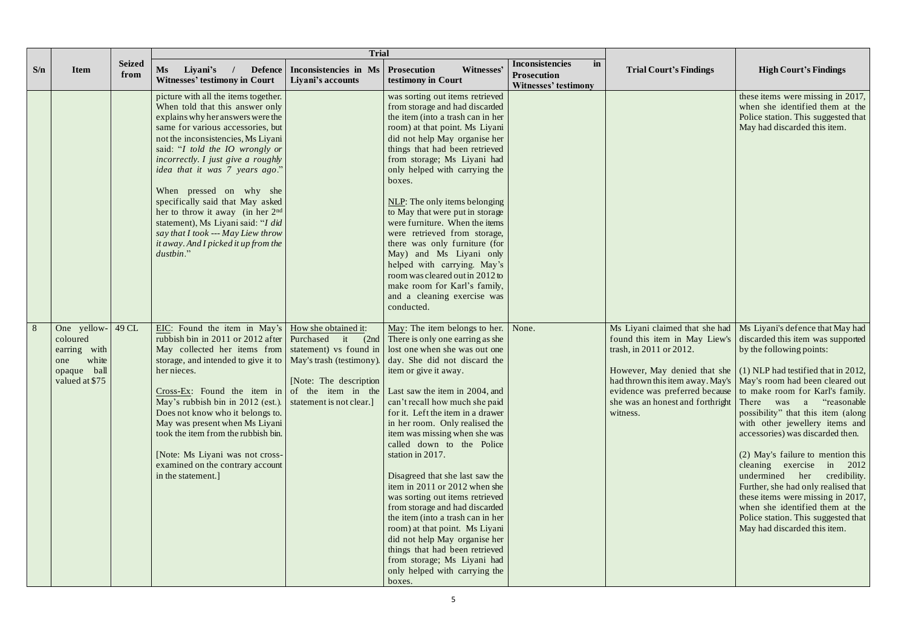|     |                                                                                             |                       |                                                                                                                                                                                                                                                                                                                                                                                                                                                                                                                                                                                                          | <b>Trial</b>                                             |                                                                                                                                                                                                                                                                                                                                                                                                                                                                                                                                                                                                                                                                                                                                        |                                                                                              |                                                                                                          |                                                                                                                                                                                                                                                                                                                                                                                                                                                                                                                                                                                                                                                                                                                                                                                 |
|-----|---------------------------------------------------------------------------------------------|-----------------------|----------------------------------------------------------------------------------------------------------------------------------------------------------------------------------------------------------------------------------------------------------------------------------------------------------------------------------------------------------------------------------------------------------------------------------------------------------------------------------------------------------------------------------------------------------------------------------------------------------|----------------------------------------------------------|----------------------------------------------------------------------------------------------------------------------------------------------------------------------------------------------------------------------------------------------------------------------------------------------------------------------------------------------------------------------------------------------------------------------------------------------------------------------------------------------------------------------------------------------------------------------------------------------------------------------------------------------------------------------------------------------------------------------------------------|----------------------------------------------------------------------------------------------|----------------------------------------------------------------------------------------------------------|---------------------------------------------------------------------------------------------------------------------------------------------------------------------------------------------------------------------------------------------------------------------------------------------------------------------------------------------------------------------------------------------------------------------------------------------------------------------------------------------------------------------------------------------------------------------------------------------------------------------------------------------------------------------------------------------------------------------------------------------------------------------------------|
| S/n | <b>Item</b>                                                                                 | <b>Seized</b><br>from | Ms<br>Liyani's<br><b>Defence</b><br><b>Witnesses' testimony in Court</b>                                                                                                                                                                                                                                                                                                                                                                                                                                                                                                                                 | Inconsistencies in Ms   Prosecution<br>Liyani's accounts | Witnesses'<br>testimony in Court                                                                                                                                                                                                                                                                                                                                                                                                                                                                                                                                                                                                                                                                                                       | <b>Inconsistencies</b><br>$\mathbf{in}$<br><b>Prosecution</b><br><b>Witnesses' testimony</b> | <b>Trial Court's Findings</b>                                                                            | <b>High Court's Findings</b>                                                                                                                                                                                                                                                                                                                                                                                                                                                                                                                                                                                                                                                                                                                                                    |
|     |                                                                                             |                       | picture with all the items together.<br>When told that this answer only<br>explains why her answers were the<br>same for various accessories, but<br>not the inconsistencies, Ms Liyani<br>said: "I told the IO wrongly or<br><i>incorrectly. I just give a roughly</i><br>idea that it was 7 years ago."<br>When pressed on why she<br>specifically said that May asked<br>her to throw it away (in her $2nd$<br>statement), Ms Liyani said: "I did<br>say that I took --- May Liew throw<br>it away. And I picked it up from the<br>dustbin."                                                          |                                                          | was sorting out items retrieved<br>from storage and had discarded<br>the item (into a trash can in her<br>room) at that point. Ms Liyani<br>did not help May organise her<br>things that had been retrieved<br>from storage; Ms Liyani had<br>only helped with carrying the<br>boxes.<br>NLP: The only items belonging<br>to May that were put in storage<br>were furniture. When the items<br>were retrieved from storage,<br>there was only furniture (for<br>May) and Ms Liyani only<br>helped with carrying. May's<br>room was cleared out in 2012 to<br>make room for Karl's family,<br>and a cleaning exercise was<br>conducted.                                                                                                 |                                                                                              |                                                                                                          | these items were missing in 2017,<br>when she identified them at the<br>Police station. This suggested that<br>May had discarded this item.                                                                                                                                                                                                                                                                                                                                                                                                                                                                                                                                                                                                                                     |
| 8   | One yellow-<br>coloured<br>with<br>earring<br>white<br>one<br>opaque ball<br>valued at \$75 | 49 CL                 | EIC: Found the item in May's $\vert$ How she obtained it:<br>rubbish bin in 2011 or 2012 after Purchased<br>May collected her items from statement) vs found in<br>storage, and intended to give it to   May's trash (testimony).<br>her nieces.<br>Cross-Ex: Found the item in of the item in the Last saw the item in 2004, and<br>May's rubbish bin in 2012 (est.). statement is not clear.<br>Does not know who it belongs to.<br>May was present when Ms Liyani<br>took the item from the rubbish bin.<br>[Note: Ms Liyani was not cross-<br>examined on the contrary account<br>in the statement.] | [Note: The description]                                  | May: The item belongs to her.   None.<br>it $(2nd)$ There is only one earring as she<br>lost one when she was out one<br>day. She did not discard the<br>item or give it away.<br>can't recall how much she paid<br>for it. Left the item in a drawer<br>in her room. Only realised the<br>item was missing when she was<br>called down to the Police<br>station in 2017.<br>Disagreed that she last saw the<br>item in 2011 or 2012 when she<br>was sorting out items retrieved<br>from storage and had discarded<br>the item (into a trash can in her<br>room) at that point. Ms Liyani<br>did not help May organise her<br>things that had been retrieved<br>from storage; Ms Liyani had<br>only helped with carrying the<br>boxes. |                                                                                              | found this item in May Liew's<br>trash, in 2011 or 2012.<br>she was an honest and forthright<br>witness. | Ms Liyani claimed that she had   Ms Liyani's defence that May had<br>discarded this item was supported<br>by the following points:<br>However, May denied that she $(1)$ NLP had testified that in 2012,<br>had thrown this item away. May's   May's room had been cleared out<br>evidence was preferred because to make room for Karl's family.<br>There was a "reasonable"<br>possibility" that this item (along<br>with other jewellery items and<br>accessories) was discarded then.<br>(2) May's failure to mention this<br>cleaning exercise in 2012<br>undermined her credibility.<br>Further, she had only realised that<br>these items were missing in 2017,<br>when she identified them at the<br>Police station. This suggested that<br>May had discarded this item. |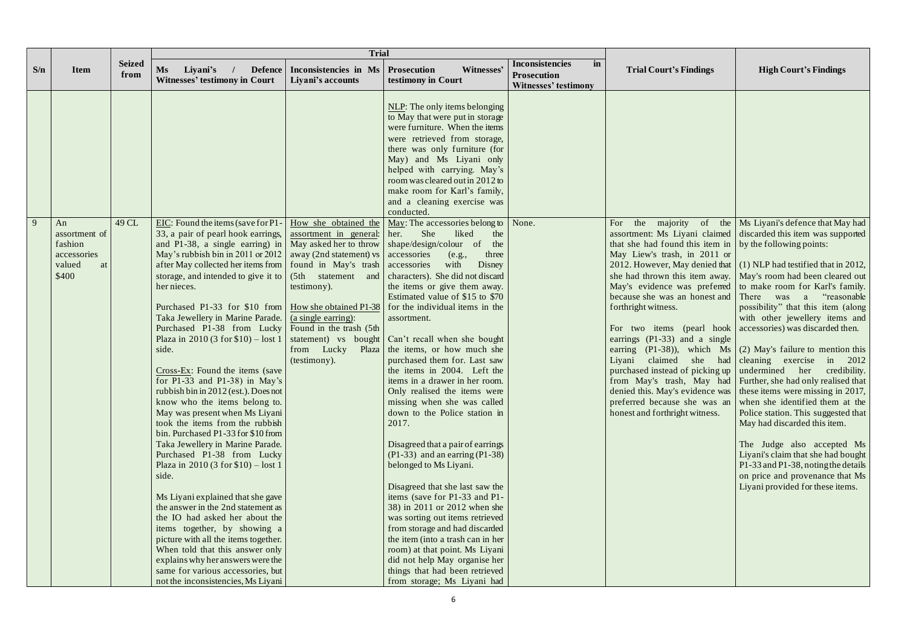|     |                                                                        |                       |                                                                                                                                                                                                                                                                                                                                                                                                                                                                                                                                                                                                                                                                                                                                                                                                                                                                                                                                                                                                                                                                                                                                                                                                                                                                                                                                                                | <b>Trial</b>                                                             |                                                                                                                                                                                                                                                                                                                                                                                                                                                                                                                                                                                                                                                                                                                                                                                                                                                                                                                                                                                                                                                |                                                                                   |                                                                                                                                                                                                                                                                                                                                                                                                            |                                                                                                                                                                                                                                                                                                                                                                                                                                                                                                                                                                                                                                                                                                                                                                                                                                                                                                                                                                                                                      |
|-----|------------------------------------------------------------------------|-----------------------|----------------------------------------------------------------------------------------------------------------------------------------------------------------------------------------------------------------------------------------------------------------------------------------------------------------------------------------------------------------------------------------------------------------------------------------------------------------------------------------------------------------------------------------------------------------------------------------------------------------------------------------------------------------------------------------------------------------------------------------------------------------------------------------------------------------------------------------------------------------------------------------------------------------------------------------------------------------------------------------------------------------------------------------------------------------------------------------------------------------------------------------------------------------------------------------------------------------------------------------------------------------------------------------------------------------------------------------------------------------|--------------------------------------------------------------------------|------------------------------------------------------------------------------------------------------------------------------------------------------------------------------------------------------------------------------------------------------------------------------------------------------------------------------------------------------------------------------------------------------------------------------------------------------------------------------------------------------------------------------------------------------------------------------------------------------------------------------------------------------------------------------------------------------------------------------------------------------------------------------------------------------------------------------------------------------------------------------------------------------------------------------------------------------------------------------------------------------------------------------------------------|-----------------------------------------------------------------------------------|------------------------------------------------------------------------------------------------------------------------------------------------------------------------------------------------------------------------------------------------------------------------------------------------------------------------------------------------------------------------------------------------------------|----------------------------------------------------------------------------------------------------------------------------------------------------------------------------------------------------------------------------------------------------------------------------------------------------------------------------------------------------------------------------------------------------------------------------------------------------------------------------------------------------------------------------------------------------------------------------------------------------------------------------------------------------------------------------------------------------------------------------------------------------------------------------------------------------------------------------------------------------------------------------------------------------------------------------------------------------------------------------------------------------------------------|
| S/n | <b>Item</b>                                                            | <b>Seized</b><br>from | Ms<br>Liyani's<br><b>Defence</b><br><b>Witnesses' testimony in Court</b>                                                                                                                                                                                                                                                                                                                                                                                                                                                                                                                                                                                                                                                                                                                                                                                                                                                                                                                                                                                                                                                                                                                                                                                                                                                                                       | Inconsistencies in Ms   Prosecution<br>Liyani's accounts                 | Witnesses'<br>testimony in Court                                                                                                                                                                                                                                                                                                                                                                                                                                                                                                                                                                                                                                                                                                                                                                                                                                                                                                                                                                                                               | <b>Inconsistencies</b><br>in<br><b>Prosecution</b><br><b>Witnesses' testimony</b> | <b>Trial Court's Findings</b>                                                                                                                                                                                                                                                                                                                                                                              | <b>High Court's Findings</b>                                                                                                                                                                                                                                                                                                                                                                                                                                                                                                                                                                                                                                                                                                                                                                                                                                                                                                                                                                                         |
|     |                                                                        |                       |                                                                                                                                                                                                                                                                                                                                                                                                                                                                                                                                                                                                                                                                                                                                                                                                                                                                                                                                                                                                                                                                                                                                                                                                                                                                                                                                                                |                                                                          | NLP: The only items belonging<br>to May that were put in storage<br>were furniture. When the items<br>were retrieved from storage,<br>there was only furniture (for<br>May) and Ms Liyani only<br>helped with carrying. May's<br>room was cleared out in 2012 to<br>make room for Karl's family,<br>and a cleaning exercise was<br>conducted.                                                                                                                                                                                                                                                                                                                                                                                                                                                                                                                                                                                                                                                                                                  |                                                                                   |                                                                                                                                                                                                                                                                                                                                                                                                            |                                                                                                                                                                                                                                                                                                                                                                                                                                                                                                                                                                                                                                                                                                                                                                                                                                                                                                                                                                                                                      |
| 9   | An<br>assortment of<br>fashion<br>accessories<br>valued<br>at<br>\$400 | 49 CL                 | EIC: Found the items (save for P1 - $\vert$ How she obtained the $\vert$ May: The accessories belong to<br>33, a pair of pearl hook earrings,<br>and P1-38, a single earning) in $\vert$ May asked her to throw<br>May's rubbish bin in 2011 or 2012   away (2nd statement) vs<br>after May collected her items from   found in May's trash   accessories<br>storage, and intended to give it to<br>her nieces.<br>Purchased P1-33 for \$10 from   How she obtained P1-38<br>Taka Jewellery in Marine Parade. (a single earring):<br>Purchased P1-38 from Lucky Found in the trash (5th<br>Plaza in 2010 (3 for $$10$ ) – lost 1<br>side.<br>Cross-Ex: Found the items (save<br>for P1-33 and P1-38) in May's<br>rubbish bin in $2012$ (est.). Does not<br>know who the items belong to.<br>May was present when Ms Liyani<br>took the items from the rubbish<br>bin. Purchased P1-33 for \$10 from<br>Taka Jewellery in Marine Parade.<br>Purchased P1-38 from Lucky<br>Plaza in $2010(3$ for \$10) – lost 1<br>side.<br>Ms Liyani explained that she gave<br>the answer in the 2nd statement as<br>the IO had asked her about the<br>items together, by showing a<br>picture with all the items together.<br>When told that this answer only<br>explains why her answers were the<br>same for various accessories, but<br>not the inconsistencies, Ms Liyani | assortment in general: her.<br>testimony).<br>from Lucky<br>(testimony). | She<br>liked<br>the<br>shape/design/colour of<br>the<br>accessories<br>three<br>(e.g.,<br>with<br>Disney<br>(5th statement and characters). She did not discard<br>the items or give them away.<br>Estimated value of \$15 to \$70<br>for the individual items in the<br>assortment.<br>statement) vs bought Can't recall when she bought<br>Plaza the items, or how much she<br>purchased them for. Last saw<br>the items in 2004. Left the<br>items in a drawer in her room.<br>Only realised the items were<br>missing when she was called<br>down to the Police station in<br>2017.<br>Disagreed that a pair of earrings<br>$(P1-33)$ and an earring $(P1-38)$<br>belonged to Ms Liyani.<br>Disagreed that she last saw the<br>items (save for P1-33 and P1-<br>38) in 2011 or 2012 when she<br>was sorting out items retrieved<br>from storage and had discarded<br>the item (into a trash can in her<br>room) at that point. Ms Liyani<br>did not help May organise her<br>things that had been retrieved<br>from storage; Ms Liyani had | None.                                                                             | the<br>majority<br>For<br>that she had found this item in $\vert$ by the following points:<br>May Liew's trash, in 2011 or<br>because she was an honest and There was a<br>forthright witness.<br>For two items (pearl hook accessories) was discarded then.<br>earrings $(P1-33)$ and a single<br>claimed<br>Liyani<br>purchased instead of picking up   undermined her<br>honest and forthright witness. | of the   Ms Liyani's defence that May had<br>assortment: Ms Liyani claimed discarded this item was supported<br>2012. However, May denied that $(1)$ NLP had testified that in 2012,<br>she had thrown this item away.   May's room had been cleared out<br>May's evidence was preferred to make room for Karl's family.<br>"reasonable<br>possibility" that this item (along<br>with other jewellery items and<br>earring $(P1-38)$ , which Ms (2) May's failure to mention this<br>she had cleaning exercise<br>in $2012$<br>credibility.<br>from May's trash, May had   Further, she had only realised that<br>denied this. May's evidence was $\vert$ these items were missing in 2017,<br>preferred because she was an when she identified them at the<br>Police station. This suggested that<br>May had discarded this item.<br>The Judge also accepted Ms<br>Liyani's claim that she had bought<br>P1-33 and P1-38, noting the details<br>on price and provenance that Ms<br>Liyani provided for these items. |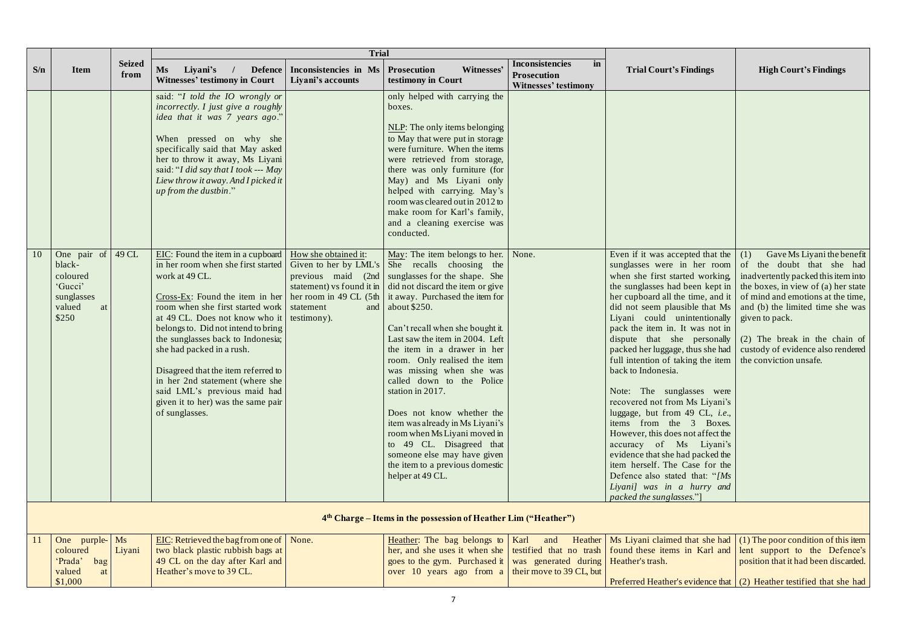| S/n | <b>Item</b>                                                                               | <b>Seized</b><br>from | Ms<br>Liyani's<br><b>Defence</b><br><b>Witnesses' testimony in Court</b>                                                                                                                                                                                                                                                                                                                                                                                                                                                                                                                                           | <b>Trial</b><br>Inconsistencies in Ms<br>Liyani's accounts | Witnesses'<br><b>Prosecution</b><br>testimony in Court                                                                                                                                                                                                                                                                                                                                                                                                                                                                                                                                              | <b>Inconsistencies</b><br>in<br><b>Prosecution</b><br><b>Witnesses' testimony</b> | <b>Trial Court's Findings</b>                                                                                                                                                                                                                                                                                                                                                                                                                                                                                                                                                                                                                                                                                                                                                          | <b>High Court's Findings</b>                                                                                                                                                                                                                                                                     |
|-----|-------------------------------------------------------------------------------------------|-----------------------|--------------------------------------------------------------------------------------------------------------------------------------------------------------------------------------------------------------------------------------------------------------------------------------------------------------------------------------------------------------------------------------------------------------------------------------------------------------------------------------------------------------------------------------------------------------------------------------------------------------------|------------------------------------------------------------|-----------------------------------------------------------------------------------------------------------------------------------------------------------------------------------------------------------------------------------------------------------------------------------------------------------------------------------------------------------------------------------------------------------------------------------------------------------------------------------------------------------------------------------------------------------------------------------------------------|-----------------------------------------------------------------------------------|----------------------------------------------------------------------------------------------------------------------------------------------------------------------------------------------------------------------------------------------------------------------------------------------------------------------------------------------------------------------------------------------------------------------------------------------------------------------------------------------------------------------------------------------------------------------------------------------------------------------------------------------------------------------------------------------------------------------------------------------------------------------------------------|--------------------------------------------------------------------------------------------------------------------------------------------------------------------------------------------------------------------------------------------------------------------------------------------------|
|     |                                                                                           |                       | said: "I told the IO wrongly or<br>incorrectly. I just give a roughly<br>idea that it was 7 years ago."<br>When pressed on why she<br>specifically said that May asked<br>her to throw it away, Ms Liyani<br>said: "I did say that I took --- May<br>Liew throw it away. And I picked it<br>up from the dustbin."                                                                                                                                                                                                                                                                                                  |                                                            | only helped with carrying the<br>boxes.<br>NLP: The only items belonging<br>to May that were put in storage<br>were furniture. When the items<br>were retrieved from storage,<br>there was only furniture (for<br>May) and Ms Liyani only<br>helped with carrying. May's<br>room was cleared out in 2012 to<br>make room for Karl's family,<br>and a cleaning exercise was<br>conducted.                                                                                                                                                                                                            |                                                                                   |                                                                                                                                                                                                                                                                                                                                                                                                                                                                                                                                                                                                                                                                                                                                                                                        |                                                                                                                                                                                                                                                                                                  |
| 10  | One pair of 49 CL<br>black-<br>coloured<br>'Gucci'<br>sunglasses<br>valued<br>at<br>\$250 |                       | EIC: Found the item in a cupboard $\vert$ How she obtained it:<br>in her room when she first started   Given to her by LML's<br>work at 49 CL.<br>Cross-Ex: Found the item in her her room in 49 CL $(5th)$ it away. Purchased the item for<br>room when she first started work statement<br>at 49 CL. Does not know who it testimony).<br>belongs to. Did not intend to bring<br>the sunglasses back to Indonesia;<br>she had packed in a rush.<br>Disagreed that the item referred to<br>in her 2nd statement (where she<br>said LML's previous maid had<br>given it to her) was the same pair<br>of sunglasses. | previous maid (2nd<br>statement) vs found it in<br>and     | May: The item belongs to her.   None.<br>She recalls choosing the<br>sunglasses for the shape. She<br>did not discard the item or give<br>$\vert$ about \$250.<br>Can't recall when she bought it.<br>Last saw the item in 2004. Left<br>the item in a drawer in her<br>room. Only realised the item<br>was missing when she was<br>called down to the Police<br>station in 2017.<br>Does not know whether the<br>item was already in Ms Liyani's<br>room when Ms Liyani moved in<br>to 49 CL. Disagreed that<br>someone else may have given<br>the item to a previous domestic<br>helper at 49 CL. |                                                                                   | Even if it was accepted that the<br>sunglasses were in her room<br>when she first started working,<br>the sunglasses had been kept in<br>her cupboard all the time, and it<br>did not seem plausible that Ms<br>Liyani could unintentionally<br>pack the item in. It was not in<br>dispute that she personally<br>packed her luggage, thus she had<br>full intention of taking the item<br>back to Indonesia.<br>Note: The sunglasses were<br>recovered not from Ms Liyani's<br>luggage, but from 49 CL, <i>i.e.</i> ,<br>items from the 3 Boxes.<br>However, this does not affect the<br>accuracy of Ms Liyani's<br>evidence that she had packed the<br>item herself. The Case for the<br>Defence also stated that: " $/Ms$<br>Liyani] was in a hurry and<br>packed the sunglasses."] | Gave Ms Liyani the be<br>(1)<br>of the doubt that she<br>inadvertently packed this iten<br>the boxes, in view of (a) her<br>of mind and emotions at the<br>and (b) the limited time she<br>given to pack.<br>(2) The break in the chai<br>custody of evidence also ren<br>the conviction unsafe. |
|     |                                                                                           |                       |                                                                                                                                                                                                                                                                                                                                                                                                                                                                                                                                                                                                                    |                                                            | 4 <sup>th</sup> Charge – Items in the possession of Heather Lim ("Heather")                                                                                                                                                                                                                                                                                                                                                                                                                                                                                                                         |                                                                                   |                                                                                                                                                                                                                                                                                                                                                                                                                                                                                                                                                                                                                                                                                                                                                                                        |                                                                                                                                                                                                                                                                                                  |
|     | One purple- Ms<br>coloured<br>'Prada'<br>bag<br>valued<br>at                              | Liyani                | EIC: Retrieved the bag from one of $\vert$ None.<br>two black plastic rubbish bags at<br>49 CL on the day after Karl and<br>Heather's move to 39 CL.                                                                                                                                                                                                                                                                                                                                                                                                                                                               |                                                            | goes to the gym. Purchased it   was generated during   Heather's trash.<br>over 10 years ago from a their move to 39 CL, but                                                                                                                                                                                                                                                                                                                                                                                                                                                                        |                                                                                   | Heather: The bag belongs to   Karl and Heather   Ms Liyani claimed that she had $(1)$ The poor condition of this<br>her, and she uses it when she testified that no trash found these items in Karl and                                                                                                                                                                                                                                                                                                                                                                                                                                                                                                                                                                                | lent support to the Defe<br>position that it had been disca                                                                                                                                                                                                                                      |

\$1,000

| <b>Trial Court's Findings</b>                                                                                                                                                                                                                                                                                                                                                                                          | <b>High Court's Findings</b>                                                                                                                                                                                                                                                                                                                       |
|------------------------------------------------------------------------------------------------------------------------------------------------------------------------------------------------------------------------------------------------------------------------------------------------------------------------------------------------------------------------------------------------------------------------|----------------------------------------------------------------------------------------------------------------------------------------------------------------------------------------------------------------------------------------------------------------------------------------------------------------------------------------------------|
|                                                                                                                                                                                                                                                                                                                                                                                                                        |                                                                                                                                                                                                                                                                                                                                                    |
| Even if it was accepted that the<br>sunglasses were in her room<br>when she first started working,<br>the sunglasses had been kept in<br>her cupboard all the time, and it<br>did not seem plausible that Ms<br>Liyani could unintentionally<br>pack the item in. It was not in<br>dispute<br>that<br>she<br>personally<br>packed her luggage, thus she had<br>full intention of taking the item<br>back to Indonesia. | Gave Ms Liyani the benefit<br>(1)<br>doubt that she<br>of<br>the<br>had<br>inadvertently packed this item into<br>the boxes, in view of (a) her state<br>of mind and emotions at the time,<br>and (b) the limited time she was<br>given to pack.<br>$(2)$ The break in the chain of<br>custody of evidence also rendered<br>the conviction unsafe. |
| The<br>sunglasses were<br>Note:<br>recovered not from Ms Liyani's<br>luggage, but from 49 CL, <i>i.e.</i> ,<br>items from the 3 Boxes.<br>However, this does not affect the<br>accuracy of Ms<br>Liyani's<br>evidence that she had packed the<br>item herself. The Case for the<br>Defence also stated that: " $/Ms$<br>Liyani] was in a hurry and<br>packed the sunglasses."]                                         |                                                                                                                                                                                                                                                                                                                                                    |
|                                                                                                                                                                                                                                                                                                                                                                                                                        |                                                                                                                                                                                                                                                                                                                                                    |
| Ms Liyani claimed that she had<br>found these items in Karl and<br>Heather's trash.                                                                                                                                                                                                                                                                                                                                    | $(1)$ The poor condition of this item<br>lent support to the Defence's<br>position that it had been discarded.                                                                                                                                                                                                                                     |
| Preferred Heather's evidence that                                                                                                                                                                                                                                                                                                                                                                                      | (2) Heather testified that she had                                                                                                                                                                                                                                                                                                                 |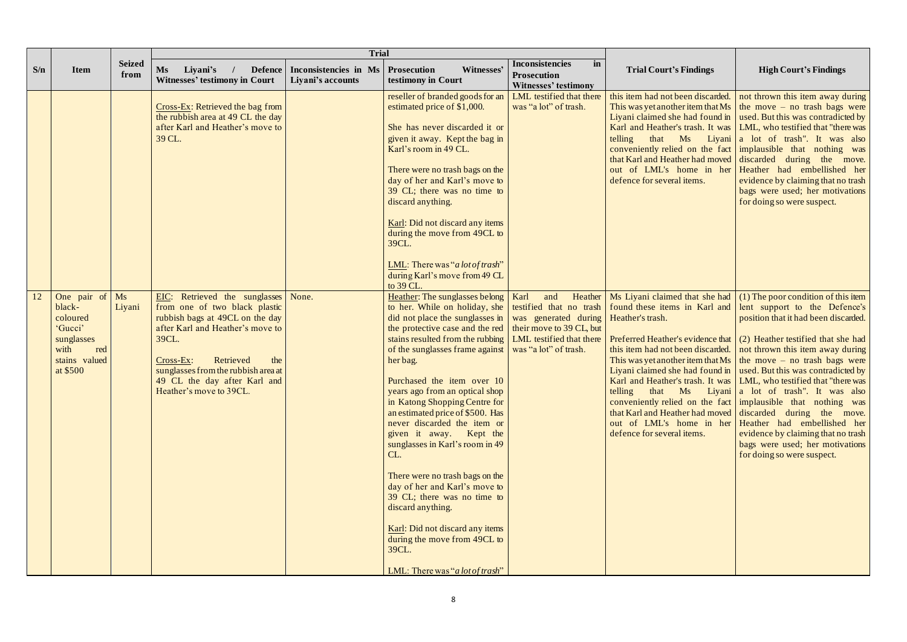|     |                                                                                                        |                       |                                                                                                                                                                                                                                                                                   | <b>Trial</b>                                             |                                                                                                                                                                                                                                                                                                                                                                                                                                                                                                                                                                                                                                                                                                                                                                    |                                                                                     |                                                  |                                                                                                                                                                                                                                                                                                                                                                                                                                                                                                                                                                                                                                                                                                                                                                                                                                                                                                                                           |
|-----|--------------------------------------------------------------------------------------------------------|-----------------------|-----------------------------------------------------------------------------------------------------------------------------------------------------------------------------------------------------------------------------------------------------------------------------------|----------------------------------------------------------|--------------------------------------------------------------------------------------------------------------------------------------------------------------------------------------------------------------------------------------------------------------------------------------------------------------------------------------------------------------------------------------------------------------------------------------------------------------------------------------------------------------------------------------------------------------------------------------------------------------------------------------------------------------------------------------------------------------------------------------------------------------------|-------------------------------------------------------------------------------------|--------------------------------------------------|-------------------------------------------------------------------------------------------------------------------------------------------------------------------------------------------------------------------------------------------------------------------------------------------------------------------------------------------------------------------------------------------------------------------------------------------------------------------------------------------------------------------------------------------------------------------------------------------------------------------------------------------------------------------------------------------------------------------------------------------------------------------------------------------------------------------------------------------------------------------------------------------------------------------------------------------|
| S/n | <b>Item</b>                                                                                            | <b>Seized</b><br>from | <b>Ms</b><br>Liyani's<br><b>Defence</b><br><b>Witnesses' testimony in Court</b>                                                                                                                                                                                                   | Inconsistencies in Ms   Prosecution<br>Liyani's accounts | Witnesses'<br>testimony in Court                                                                                                                                                                                                                                                                                                                                                                                                                                                                                                                                                                                                                                                                                                                                   | Inconsistencies<br>in<br><b>Prosecution</b><br><b>Witnesses' testimony</b>          | <b>Trial Court's Findings</b>                    | <b>High Court's Findings</b>                                                                                                                                                                                                                                                                                                                                                                                                                                                                                                                                                                                                                                                                                                                                                                                                                                                                                                              |
|     |                                                                                                        |                       | $Cross$ -Ex: Retrieved the bag from<br>the rubbish area at 49 CL the day<br>after Karl and Heather's move to<br>39 CL.                                                                                                                                                            |                                                          | reseller of branded goods for an<br>estimated price of \$1,000.<br>She has never discarded it or<br>given it away. Kept the bag in<br>Karl's room in 49 CL.<br>There were no trash bags on the<br>day of her and Karl's move to<br>39 CL; there was no time to<br>discard anything.<br>Karl: Did not discard any items<br>during the move from 49CL to<br>39CL.<br>LML: There was "a lot of trash"<br>during Karl's move from 49 CL<br>to 39 CL.                                                                                                                                                                                                                                                                                                                   | LML testified that there<br>was "a lot" of trash.                                   | that Ms<br>telling<br>defence for several items. | this item had not been discarded.   not thrown this item away during<br>This was yet another item that Ms $\vert$ the move – no trash bags were<br>Liyani claimed she had found in $\vert$ used. But this was contradicted by<br>Karl and Heather's trash. It was   LML, who testified that "there was<br>Liyani a lot of trash". It was also<br>conveniently relied on the fact implausible that nothing was<br>that Karl and Heather had moved discarded during the move.<br>out of LML's home in her Heather had embellished her<br>evidence by claiming that no trash<br>bags were used; her motivations<br>for doing so were suspect.                                                                                                                                                                                                                                                                                                |
| 12  | One pair of<br>black-<br>coloured<br>'Gucci'<br>sunglasses<br>with<br>red<br>stains valued<br>at \$500 | Ms<br>Liyani          | EIC: Retrieved the sunglasses<br>from one of two black plastic<br>rubbish bags at 49CL on the day<br>after Karl and Heather's move to<br>39CL.<br>Cross-Ex:<br>Retrieved<br>the<br>sunglasses from the rubbish area at<br>49 CL the day after Karl and<br>Heather's move to 39CL. | None.                                                    | Heather: The sunglasses belong   Karl<br>to her. While on holiday, she<br>did not place the sunglasses in<br>the protective case and the red<br>stains resulted from the rubbing   LML testified that there<br>of the sunglasses frame against   was "a lot" of trash.<br>her bag.<br>Purchased the item over 10<br>years ago from an optical shop<br>in Katong Shopping Centre for<br>an estimated price of \$500. Has<br>never discarded the item or<br>given it away. Kept the<br>sunglasses in Karl's room in 49<br>CL.<br>There were no trash bags on the<br>day of her and Karl's move to<br>39 CL; there was no time to<br>discard anything.<br>Karl: Did not discard any items<br>during the move from 49CL to<br>39CL.<br>LML: There was "a lot of trash" | and<br>Heather<br>was generated during Heather's trash.<br>their move to 39 CL, but | telling<br>defence for several items.            | Ms Liyani claimed that she had $(1)$ The poor condition of this item<br>testified that no trash   found these items in Karl and   lent support to the Defence's<br>position that it had been discarded.<br>Preferred Heather's evidence that $(2)$ Heather testified that she had<br>this item had not been discarded.   not thrown this item away during<br>This was yet another item that Ms $\vert$ the move – no trash bags were<br>Liyani claimed she had found in $\vert$ used. But this was contradicted by<br>Karl and Heather's trash. It was   LML, who testified that "there was<br>that Ms Liyani a lot of trash". It was also<br>conveniently relied on the fact   implausible that nothing was<br>that Karl and Heather had moved discarded during the move.<br>out of LML's home in her Heather had embellished her<br>evidence by claiming that no trash<br>bags were used; her motivations<br>for doing so were suspect. |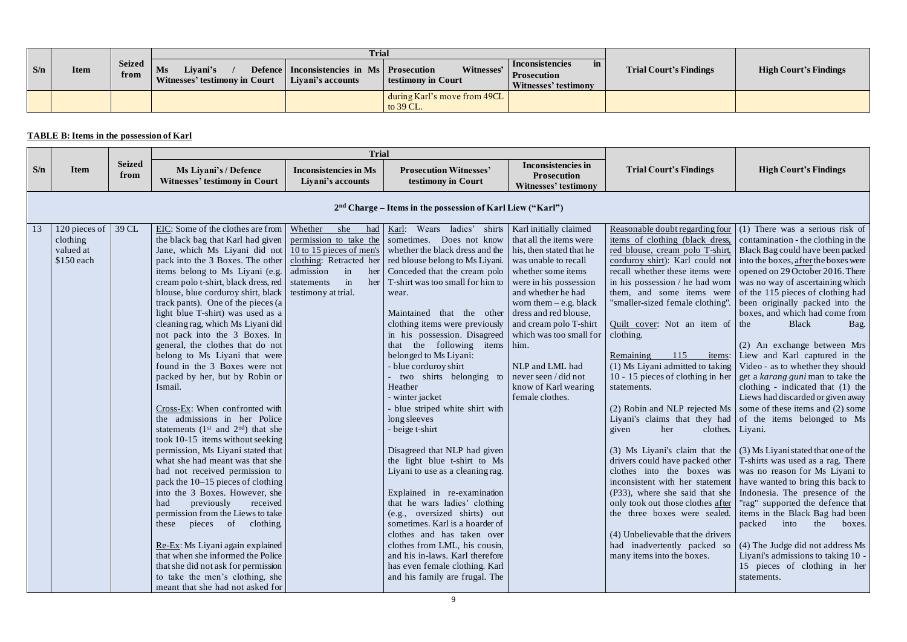|     |             |                       |                                                 | <b>Trial</b>                                                       |                                           |                                                                     |                               |  |  |  |  |
|-----|-------------|-----------------------|-------------------------------------------------|--------------------------------------------------------------------|-------------------------------------------|---------------------------------------------------------------------|-------------------------------|--|--|--|--|
| S/n | <b>Item</b> | <b>Seized</b><br>trom | Livani's<br>Ms<br>Witnesses' testimony in Court | Defence   Inconsistencies in Ms   Prosecution<br>Livani's accounts | Witnesses'<br>testimony in Court          | Inconsistencies<br>in<br><b>Prosecution</b><br>Witnesses' testimony | <b>Trial Court's Findings</b> |  |  |  |  |
|     |             |                       |                                                 |                                                                    | during Karl's move from 49CL<br>to 39 CL. |                                                                     |                               |  |  |  |  |

## **TABLE B: Items in the possession of Karl**

|     |                                                       |                       | <b>Trial</b>                                                                                                                                                                                                                                                                                                                                                                                                                                                                                                                                                                                                                                                                                                                                                                                                                                                                                                                                                                                                                                                                                                                                                                                              |                                                                                                                                                                        |                                                                                                                                                                                                                                                                                                                                                                                                                                                                                                                                                                                                                                                                                                                                                                                                                                                                                                                                                                      |                                                                                                                                                                                                                                                                                                                                                  |                                                                                                                                                                                                                                                                                                                                                                                                                                                                                                                                                   |                                                                                                                                                                                                                                                                                                                                                                                                                                                                                                                                                                                                                                                                                                                                                                                                                                                                                                                                                                                                                                                                                                                                                                                                                                                                                                                                                                                                                                   |
|-----|-------------------------------------------------------|-----------------------|-----------------------------------------------------------------------------------------------------------------------------------------------------------------------------------------------------------------------------------------------------------------------------------------------------------------------------------------------------------------------------------------------------------------------------------------------------------------------------------------------------------------------------------------------------------------------------------------------------------------------------------------------------------------------------------------------------------------------------------------------------------------------------------------------------------------------------------------------------------------------------------------------------------------------------------------------------------------------------------------------------------------------------------------------------------------------------------------------------------------------------------------------------------------------------------------------------------|------------------------------------------------------------------------------------------------------------------------------------------------------------------------|----------------------------------------------------------------------------------------------------------------------------------------------------------------------------------------------------------------------------------------------------------------------------------------------------------------------------------------------------------------------------------------------------------------------------------------------------------------------------------------------------------------------------------------------------------------------------------------------------------------------------------------------------------------------------------------------------------------------------------------------------------------------------------------------------------------------------------------------------------------------------------------------------------------------------------------------------------------------|--------------------------------------------------------------------------------------------------------------------------------------------------------------------------------------------------------------------------------------------------------------------------------------------------------------------------------------------------|---------------------------------------------------------------------------------------------------------------------------------------------------------------------------------------------------------------------------------------------------------------------------------------------------------------------------------------------------------------------------------------------------------------------------------------------------------------------------------------------------------------------------------------------------|-----------------------------------------------------------------------------------------------------------------------------------------------------------------------------------------------------------------------------------------------------------------------------------------------------------------------------------------------------------------------------------------------------------------------------------------------------------------------------------------------------------------------------------------------------------------------------------------------------------------------------------------------------------------------------------------------------------------------------------------------------------------------------------------------------------------------------------------------------------------------------------------------------------------------------------------------------------------------------------------------------------------------------------------------------------------------------------------------------------------------------------------------------------------------------------------------------------------------------------------------------------------------------------------------------------------------------------------------------------------------------------------------------------------------------------|
| S/n | <b>Item</b>                                           | <b>Seized</b><br>from | Ms Liyani's / Defence<br><b>Witnesses' testimony in Court</b>                                                                                                                                                                                                                                                                                                                                                                                                                                                                                                                                                                                                                                                                                                                                                                                                                                                                                                                                                                                                                                                                                                                                             | <b>Inconsistencies in Ms</b><br>Liyani's accounts                                                                                                                      | <b>Prosecution Witnesses'</b><br>testimony in Court                                                                                                                                                                                                                                                                                                                                                                                                                                                                                                                                                                                                                                                                                                                                                                                                                                                                                                                  | <b>Inconsistencies in</b><br><b>Prosecution</b><br><b>Witnesses' testimony</b>                                                                                                                                                                                                                                                                   | <b>Trial Court's Findings</b>                                                                                                                                                                                                                                                                                                                                                                                                                                                                                                                     | <b>High Court's Findings</b>                                                                                                                                                                                                                                                                                                                                                                                                                                                                                                                                                                                                                                                                                                                                                                                                                                                                                                                                                                                                                                                                                                                                                                                                                                                                                                                                                                                                      |
|     |                                                       |                       |                                                                                                                                                                                                                                                                                                                                                                                                                                                                                                                                                                                                                                                                                                                                                                                                                                                                                                                                                                                                                                                                                                                                                                                                           |                                                                                                                                                                        | $2nd$ Charge – Items in the possession of Karl Liew ("Karl")                                                                                                                                                                                                                                                                                                                                                                                                                                                                                                                                                                                                                                                                                                                                                                                                                                                                                                         |                                                                                                                                                                                                                                                                                                                                                  |                                                                                                                                                                                                                                                                                                                                                                                                                                                                                                                                                   |                                                                                                                                                                                                                                                                                                                                                                                                                                                                                                                                                                                                                                                                                                                                                                                                                                                                                                                                                                                                                                                                                                                                                                                                                                                                                                                                                                                                                                   |
| 13  | 120 pieces of<br>clothing<br>valued at<br>$$150$ each | 39 CL                 | EIC: Some of the clothes are from<br>the black bag that Karl had given<br>Jane, which Ms Liyani did not<br>pack into the 3 Boxes. The other<br>items belong to Ms Liyani (e.g.<br>cream polo t-shirt, black dress, red   statements<br>blouse, blue corduroy shirt, black<br>track pants). One of the pieces (a<br>light blue T-shirt) was used as a<br>cleaning rag, which Ms Liyani did<br>not pack into the 3 Boxes. In<br>general, the clothes that do not<br>belong to Ms Liyani that were<br>found in the 3 Boxes were not<br>packed by her, but by Robin or<br>Ismail.<br>Cross-Ex: When confronted with<br>the admissions in her Police<br>statements ( $1st$ and $2nd$ ) that she<br>took 10-15 items without seeking<br>permission, Ms Liyani stated that<br>what she had meant was that she<br>had not received permission to<br>pack the 10–15 pieces of clothing<br>into the 3 Boxes. However, she<br>previously<br>received<br>had<br>permission from the Liews to take<br>these pieces of clothing.<br>Re-Ex: Ms Liyani again explained<br>that when she informed the Police<br>that she did not ask for permission<br>to take the men's clothing, she<br>meant that she had not asked for | Whether<br>she<br>had<br>permission to take the<br>$10$ to 15 pieces of men's<br>clothing: Retracted her<br>admission<br>in<br>her<br>in<br>her<br>testimony at trial. | Karl: Wears ladies' shirts   Karl initially claimed<br>sometimes. Does not know<br>whether the black dress and the<br>red blouse belong to Ms Liyani.<br>Conceded that the cream polo<br>T-shirt was too small for him to<br>wear.<br>Maintained that the other<br>clothing items were previously<br>in his possession. Disagreed<br>the following items him.<br>that<br>belonged to Ms Liyani:<br>- blue corduroy shirt<br>two shirts belonging to<br>Heather<br>- winter jacket<br>- blue striped white shirt with<br>long sleeves<br>- beige t-shirt<br>Disagreed that NLP had given<br>the light blue t-shirt to Ms<br>Liyani to use as a cleaning rag.<br>Explained in re-examination<br>that he wars ladies' clothing<br>(e.g., oversized shirts) out<br>sometimes. Karl is a hoarder of<br>clothes and has taken over<br>clothes from LML, his cousin,<br>and his in-laws. Karl therefore<br>has even female clothing. Karl<br>and his family are frugal. The | that all the items were<br>his, then stated that he<br>was unable to recall<br>whether some items<br>were in his possession<br>and whether he had<br>worn them $-e.g.$ black<br>dress and red blouse,<br>and cream polo T-shirt<br>which was too small for<br>NLP and LML had<br>never seen / did not<br>know of Karl wearing<br>female clothes. | Reasonable doubt regarding four<br>items of clothing (black dress,<br>red blouse, cream polo T-shirt,<br>corduroy shirt): Karl could not<br>recall whether these items were<br>them, and some items were<br>"smaller-sized female clothing"<br>Quilt cover: Not an item of the<br>clothing.<br>Remaining<br>115<br>$(1)$ Ms Liyani admitted to taking<br>10 - 15 pieces of clothing in her<br>statements.<br>clothes.   Liyani.<br>given<br>her<br>(4) Unbelievable that the drivers<br>had inadvertently packed so<br>many items into the boxes. | (1) There was a serious risk of<br>contamination - the clothing in the<br>Black Bag could have been packed<br>into the boxes, after the boxes were<br>opened on 29 October 2016. There<br>in his possession / he had worn $\vert$ was no way of ascertaining which<br>of the 115 pieces of clothing had<br>been originally packed into the<br>boxes, and which had come from<br><b>Black</b><br>Bag.<br>(2) An exchange between Mrs<br>items: Liew and Karl captured in the<br>Video - as to whether they should<br>get a karang guni man to take the<br>clothing - indicated that (1) the<br>Liews had discarded or given away<br>(2) Robin and NLP rejected Ms $\vert$ some of these items and (2) some<br>Liyani's claims that they had of the items belonged to Ms<br>(3) Ms Liyani's claim that the $(3)$ Ms Liyani stated that one of the<br>drivers could have packed other   T-shirts was used as a rag. There<br>clothes into the boxes was was we no reason for Ms Liyani to<br>inconsistent with her statement   have wanted to bring this back to<br>(P33), where she said that she   Indonesia. The presence of the<br>only took out those clothes after   "rag" supported the defence that<br>the three boxes were sealed. items in the Black Bag had been<br>packed into<br>the<br>boxes.<br>(4) The Judge did not address Ms<br>Liyani's admissions to taking 10 -<br>15 pieces of clothing in her<br>statements. |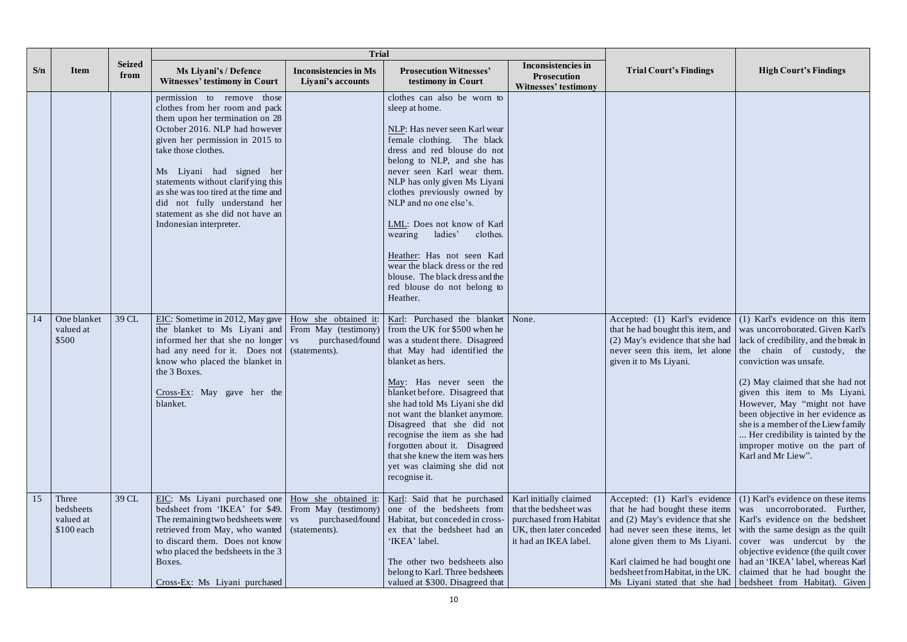|     |                                                | <b>Trial</b>          |                                                                                                                                                                                                                                                                                                                                                                                                     |                                                   |                                                                                                                                                                                                                                                                                                                                                                                                                                                                                                                 |                                                                                                                               |                                                                                                     |                                                                                                                                                                                                                                                                                                                                                                                                                                                                                                                                                                                             |
|-----|------------------------------------------------|-----------------------|-----------------------------------------------------------------------------------------------------------------------------------------------------------------------------------------------------------------------------------------------------------------------------------------------------------------------------------------------------------------------------------------------------|---------------------------------------------------|-----------------------------------------------------------------------------------------------------------------------------------------------------------------------------------------------------------------------------------------------------------------------------------------------------------------------------------------------------------------------------------------------------------------------------------------------------------------------------------------------------------------|-------------------------------------------------------------------------------------------------------------------------------|-----------------------------------------------------------------------------------------------------|---------------------------------------------------------------------------------------------------------------------------------------------------------------------------------------------------------------------------------------------------------------------------------------------------------------------------------------------------------------------------------------------------------------------------------------------------------------------------------------------------------------------------------------------------------------------------------------------|
| S/n | <b>Item</b>                                    | <b>Seized</b><br>from | Ms Liyani's / Defence<br><b>Witnesses' testimony in Court</b>                                                                                                                                                                                                                                                                                                                                       | <b>Inconsistencies in Ms</b><br>Liyani's accounts | <b>Prosecution Witnesses'</b><br>testimony in Court                                                                                                                                                                                                                                                                                                                                                                                                                                                             | <b>Inconsistencies in</b><br><b>Prosecution</b><br><b>Witnesses' testimony</b>                                                | <b>Trial Court's Findings</b>                                                                       | <b>High Court's Findings</b>                                                                                                                                                                                                                                                                                                                                                                                                                                                                                                                                                                |
|     |                                                |                       | permission to remove those<br>clothes from her room and pack<br>them upon her termination on 28<br>October 2016. NLP had however<br>given her permission in 2015 to<br>take those clothes.<br>Ms Liyani had signed her<br>statements without clarifying this<br>as she was too tired at the time and<br>did not fully understand her<br>statement as she did not have an<br>Indonesian interpreter. |                                                   | clothes can also be worn to<br>sleep at home.<br>NLP: Has never seen Karl wear<br>female clothing. The black<br>dress and red blouse do not<br>belong to NLP, and she has<br>never seen Karl wear them.<br>NLP has only given Ms Liyani<br>clothes previously owned by<br>NLP and no one else's.<br>LML: Does not know of Karl<br>wearing<br>ladies'<br>clothes.<br>Heather: Has not seen Karl<br>wear the black dress or the red<br>blouse. The black dress and the<br>red blouse do not belong to<br>Heather. |                                                                                                                               |                                                                                                     |                                                                                                                                                                                                                                                                                                                                                                                                                                                                                                                                                                                             |
| 14  | One blanket<br>valued at<br>\$500              | 39 CL                 | EIC: Sometime in 2012, May gave $\vert$ How she obtained it:<br>the blanket to Ms Liyani and From May (testimony)<br>informed her that she no longer vs<br>had any need for it. Does not (statements).<br>know who placed the blanket in<br>the 3 Boxes.<br>$Cross-Ex$ : May gave her the<br>blanket.                                                                                               | purchased/found                                   | Karl: Purchased the blanket<br>from the UK for \$500 when he<br>was a student there. Disagreed<br>that May had identified the<br>blanket as hers.<br>May: Has never seen the<br>blanket before. Disagreed that<br>she had told Ms Liyani she did<br>not want the blanket anymore.<br>Disagreed that she did not<br>recognise the item as she had<br>forgotten about it. Disagreed<br>that she knew the item was hers<br>yet was claiming she did not<br>recognise it.                                           | None.                                                                                                                         | given it to Ms Liyani.                                                                              | Accepted: (1) Karl's evidence $(1)$ Karl's evidence on this item<br>that he had bought this item, and was uncorroborated. Given Karl's<br>(2) May's evidence that she had $\vert$ lack of credibility, and the break in<br>never seen this item, let alone the chain of custody, the<br>conviction was unsafe.<br>(2) May claimed that she had not<br>given this item to Ms Liyani.<br>However, May "might not have<br>been objective in her evidence as<br>she is a member of the Liew family<br>Her credibility is tainted by the<br>improper motive on the part of<br>Karl and Mr Liew". |
| 15  | Three<br>bedsheets<br>valued at<br>$$100$ each | 39 CL                 | EIC: Ms Liyani purchased one   How she obtained it:<br>bedsheet from 'IKEA' for \$49. From May (testimony)<br>The remaining two bedsheets were $\vert$ vs<br>retrieved from May, who wanted (statements).<br>to discard them. Does not know<br>who placed the bedsheets in the 3<br>Boxes.<br>Cross-Ex: Ms Liyani purchased                                                                         |                                                   | Karl: Said that he purchased<br>one of the bedsheets from<br>purchased/found   Habitat, but conceded in cross-<br>ex that the bedsheet had an<br>'IKEA' label.<br>The other two bedsheets also<br>belong to Karl. Three bedsheets<br>valued at \$300. Disagreed that                                                                                                                                                                                                                                            | Karl initially claimed<br>that the bedsheet was<br>purchased from Habitat<br>UK, then later conceded<br>it had an IKEA label. | that he had bought these items<br>had never seen these items, let<br>alone given them to Ms Liyani. | Accepted: (1) Karl's evidence $(1)$ Karl's evidence on these items<br>was uncorroborated.<br>Further,<br>and $(2)$ May's evidence that she   Karl's evidence on the bedsheet<br>with the same design as the quilt<br>cover was undercut by the<br>objective evidence (the quilt cover<br>Karl claimed he had bought one   had an 'IKEA' label, whereas Karl<br>bedsheet from Habitat, in the UK.   claimed that he had bought the<br>Ms Liyani stated that she had bedsheet from Habitat). Given                                                                                            |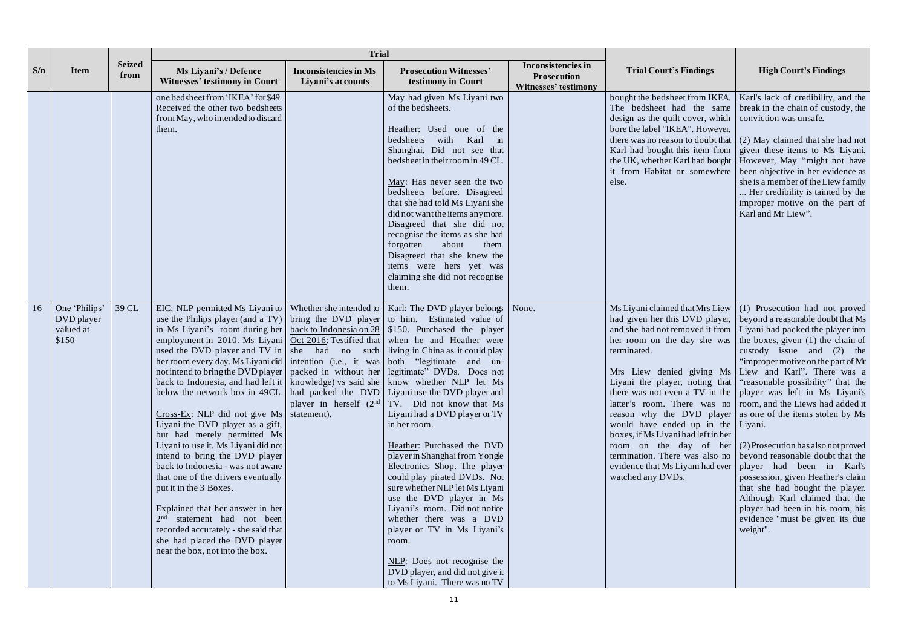|               |                                                   |                       | <b>Trial</b>                                                                                                                                                                                                                                                                                                                                                                                                                                                                                                                                                                                                                                                                                                                                                                                                                                                                                                                                                                                                                                                                                                                                               |                                                   |                                                                                                                                                                                                                                                                                                                                                                                                                                                                                                                                                                                                                                                                  |                                                                                |                                                                                                                                                |                                                                                                                                                                                                                                                                                                                                                                                                                                                                                                                                                                                                                                                                                                                                                                                                                                                                                                                                                                                                                                                       |
|---------------|---------------------------------------------------|-----------------------|------------------------------------------------------------------------------------------------------------------------------------------------------------------------------------------------------------------------------------------------------------------------------------------------------------------------------------------------------------------------------------------------------------------------------------------------------------------------------------------------------------------------------------------------------------------------------------------------------------------------------------------------------------------------------------------------------------------------------------------------------------------------------------------------------------------------------------------------------------------------------------------------------------------------------------------------------------------------------------------------------------------------------------------------------------------------------------------------------------------------------------------------------------|---------------------------------------------------|------------------------------------------------------------------------------------------------------------------------------------------------------------------------------------------------------------------------------------------------------------------------------------------------------------------------------------------------------------------------------------------------------------------------------------------------------------------------------------------------------------------------------------------------------------------------------------------------------------------------------------------------------------------|--------------------------------------------------------------------------------|------------------------------------------------------------------------------------------------------------------------------------------------|-------------------------------------------------------------------------------------------------------------------------------------------------------------------------------------------------------------------------------------------------------------------------------------------------------------------------------------------------------------------------------------------------------------------------------------------------------------------------------------------------------------------------------------------------------------------------------------------------------------------------------------------------------------------------------------------------------------------------------------------------------------------------------------------------------------------------------------------------------------------------------------------------------------------------------------------------------------------------------------------------------------------------------------------------------|
| S/n           | <b>Item</b>                                       | <b>Seized</b><br>from | Ms Liyani's / Defence<br><b>Witnesses' testimony in Court</b>                                                                                                                                                                                                                                                                                                                                                                                                                                                                                                                                                                                                                                                                                                                                                                                                                                                                                                                                                                                                                                                                                              | <b>Inconsistencies in Ms</b><br>Liyani's accounts | <b>Prosecution Witnesses'</b><br>testimony in Court                                                                                                                                                                                                                                                                                                                                                                                                                                                                                                                                                                                                              | <b>Inconsistencies in</b><br><b>Prosecution</b><br><b>Witnesses' testimony</b> | <b>Trial Court's Findings</b>                                                                                                                  | <b>High Court's Findings</b>                                                                                                                                                                                                                                                                                                                                                                                                                                                                                                                                                                                                                                                                                                                                                                                                                                                                                                                                                                                                                          |
|               |                                                   |                       | one bedsheet from 'IKEA' for \$49.<br>Received the other two bedsheets<br>from May, who intended to discard<br>them.                                                                                                                                                                                                                                                                                                                                                                                                                                                                                                                                                                                                                                                                                                                                                                                                                                                                                                                                                                                                                                       |                                                   | May had given Ms Liyani two<br>of the bedsheets.<br>Heather: Used one of the<br>bedsheets with Karl<br>$\dot{m}$<br>Shanghai. Did not see that<br>bedsheet in their room in 49 CL.<br>May: Has never seen the two<br>bedsheets before. Disagreed<br>that she had told Ms Liyani she<br>did not want the items anymore.<br>Disagreed that she did not<br>recognise the items as she had<br>forgotten<br>about<br>them.<br>Disagreed that she knew the<br>items were hers yet was<br>claiming she did not recognise<br>them.                                                                                                                                       |                                                                                | bought the bedsheet from IKEA.<br>design as the quilt cover, which<br>bore the label "IKEA". However,<br>it from Habitat or somewhere<br>else. | Karl's lack of credibility, and the<br>The bedsheet had the same break in the chain of custody, the<br>conviction was unsafe.<br>there was no reason to doubt that $\mid$ (2) May claimed that she had not<br>Karl had bought this item from   given these items to Ms Liyani.<br>the UK, whether Karl had bought   However, May "might not have<br>been objective in her evidence as<br>she is a member of the Liew family<br>Her credibility is tainted by the<br>improper motive on the part of<br>Karl and Mr Liew".                                                                                                                                                                                                                                                                                                                                                                                                                                                                                                                              |
| <sup>16</sup> | One 'Philips'<br>DVD player<br>valued at<br>\$150 | 39 CL                 | EIC: NLP permitted Ms Liyani to<br>use the Philips player (and a TV) $\vert$ bring the DVD player to him. Estimated value of<br>in Ms Liyani's room during her<br>employment in 2010. Ms Liyani<br>used the DVD player and TV in   she had no such   living in China as it could play<br>her room every day. Ms Liyani did   intention (i.e., it was   both "legitimate and un-<br>not intend to bring the DVD player   packed in without her   legitimate" DVDs. Does not<br>back to Indonesia, and had left it   knowledge) vs said she   know whether NLP let Ms<br>below the network box in 49CL   had packed the DVD   Liyani use the DVD player and<br>$Cross\text{-}Ex$ : NLP did not give Ms statement).<br>Liyani the DVD player as a gift,<br>but had merely permitted Ms<br>Liyani to use it. Ms Liyani did not<br>intend to bring the DVD player<br>back to Indonesia - was not aware<br>that one of the drivers eventually<br>put it in the 3 Boxes.<br>Explained that her answer in her<br>2 <sup>nd</sup> statement had not been<br>recorded accurately - she said that<br>she had placed the DVD player<br>near the box, not into the box. | Whether she intended to                           | Karl: The DVD player belongs<br><u>back to Indonesia on 28</u>   \$150. Purchased the player<br>Oct 2016: Testified that when he and Heather were<br>player in herself $(2nd   TV)$ . Did not know that Ms<br>Liyani had a DVD player or TV<br>in her room.<br>Heather: Purchased the DVD<br>player in Shanghai from Yongle<br>Electronics Shop. The player<br>could play pirated DVDs. Not<br>sure whether NLP let Ms Liyani<br>use the DVD player in Ms<br>Liyani's room. Did not notice<br>whether there was a DVD<br>player or TV in Ms Liyani's<br>room.<br>NLP: Does not recognise the<br>DVD player, and did not give it<br>to Ms Liyani. There was no TV | None.                                                                          | her room on the day she was<br>terminated.<br>would have ended up in the Liyani.<br>boxes, if Ms Liyanihad left in her<br>watched any DVDs.    | Ms Liyani claimed that Mrs Liew $(1)$ Prosecution had not proved<br>had given her this DVD player, beyond a reasonable doubt that Ms<br>and she had not removed it from   Liyani had packed the player into<br>the boxes, given (1) the chain of<br>custody issue and $(2)$ the<br>"improper motive on the part of Mr<br>Mrs Liew denied giving Ms Liew and Karl". There was a<br>Liyani the player, noting that "reasonable possibility" that the<br>there was not even a TV in the   player was left in Ms Liyani's  <br>latter's room. There was no room, and the Liews had added it<br>reason why the DVD player as one of the items stolen by Ms<br>room on the day of her $(2)$ Prosecution has also not proved<br>termination. There was also no beyond reasonable doubt that the<br>evidence that Ms Liyani had ever   player had been in Karl's<br>possession, given Heather's claim<br>that she had bought the player.<br>Although Karl claimed that the<br>player had been in his room, his<br>evidence "must be given its due<br>weight". |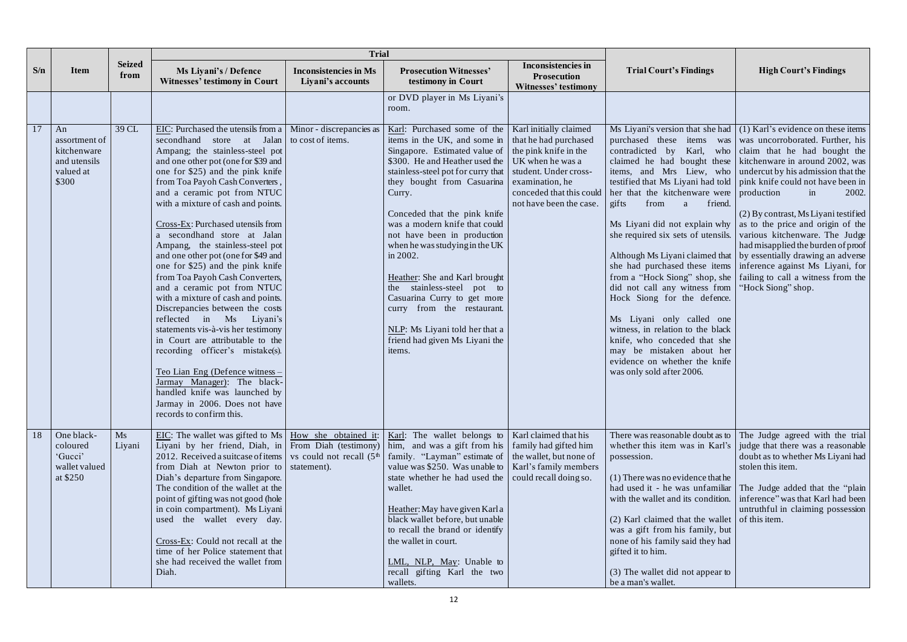|     |                                                                          |                       | <b>Trial</b>                                                                                                                                                                                                                                                                                                                                                                                                                                                                                                                                                                                                                                                                                                                                                                                                                                                                                                                                                                 |                                                   |                                                                                                                                                                                                                                                                                                                                                                                                                                                                                                                                                                                       |                                                                                                                                                                             |                                                                                                                                                                                                                                                                                                                                                                                                                                                |                                                                                                                                                                                                                                                                                                                                                                                                                                                                                                                                                                                                                                                                                                                                                                                          |
|-----|--------------------------------------------------------------------------|-----------------------|------------------------------------------------------------------------------------------------------------------------------------------------------------------------------------------------------------------------------------------------------------------------------------------------------------------------------------------------------------------------------------------------------------------------------------------------------------------------------------------------------------------------------------------------------------------------------------------------------------------------------------------------------------------------------------------------------------------------------------------------------------------------------------------------------------------------------------------------------------------------------------------------------------------------------------------------------------------------------|---------------------------------------------------|---------------------------------------------------------------------------------------------------------------------------------------------------------------------------------------------------------------------------------------------------------------------------------------------------------------------------------------------------------------------------------------------------------------------------------------------------------------------------------------------------------------------------------------------------------------------------------------|-----------------------------------------------------------------------------------------------------------------------------------------------------------------------------|------------------------------------------------------------------------------------------------------------------------------------------------------------------------------------------------------------------------------------------------------------------------------------------------------------------------------------------------------------------------------------------------------------------------------------------------|------------------------------------------------------------------------------------------------------------------------------------------------------------------------------------------------------------------------------------------------------------------------------------------------------------------------------------------------------------------------------------------------------------------------------------------------------------------------------------------------------------------------------------------------------------------------------------------------------------------------------------------------------------------------------------------------------------------------------------------------------------------------------------------|
| S/n | <b>Item</b>                                                              | <b>Seized</b><br>from | Ms Liyani's / Defence<br><b>Witnesses' testimony in Court</b>                                                                                                                                                                                                                                                                                                                                                                                                                                                                                                                                                                                                                                                                                                                                                                                                                                                                                                                | <b>Inconsistencies in Ms</b><br>Liyani's accounts | <b>Prosecution Witnesses'</b><br>testimony in Court                                                                                                                                                                                                                                                                                                                                                                                                                                                                                                                                   | <b>Inconsistencies in</b><br><b>Prosecution</b><br><b>Witnesses' testimony</b>                                                                                              | <b>Trial Court's Findings</b>                                                                                                                                                                                                                                                                                                                                                                                                                  | <b>High Court's Findings</b>                                                                                                                                                                                                                                                                                                                                                                                                                                                                                                                                                                                                                                                                                                                                                             |
|     |                                                                          |                       |                                                                                                                                                                                                                                                                                                                                                                                                                                                                                                                                                                                                                                                                                                                                                                                                                                                                                                                                                                              |                                                   | or DVD player in Ms Liyani's<br>room.                                                                                                                                                                                                                                                                                                                                                                                                                                                                                                                                                 |                                                                                                                                                                             |                                                                                                                                                                                                                                                                                                                                                                                                                                                |                                                                                                                                                                                                                                                                                                                                                                                                                                                                                                                                                                                                                                                                                                                                                                                          |
| 17  | An<br>assortment of<br>kitchenware<br>and utensils<br>valued at<br>\$300 | 39 CL                 | EIC: Purchased the utensils from a   Minor - discrepancies as<br>second hand store at Jalan to cost of items.<br>Ampang; the stainless-steel pot<br>and one other pot (one for \$39 and<br>one for \$25) and the pink knife<br>from Toa Payoh Cash Converters,<br>and a ceramic pot from NTUC<br>with a mixture of cash and points.<br>Cross-Ex: Purchased utensils from<br>a secondhand store at Jalan<br>Ampang, the stainless-steel pot<br>and one other pot (one for \$49 and<br>one for \$25) and the pink knife<br>from Toa Payoh Cash Converters,<br>and a ceramic pot from NTUC<br>with a mixture of cash and points.<br>Discrepancies between the costs<br>reflected in Ms<br>Liyani's<br>statements vis-à-vis her testimony<br>in Court are attributable to the<br>recording officer's mistake(s).<br>Teo Lian Eng (Defence witness -<br>Jarmay Manager): The black-<br>handled knife was launched by<br>Jarmay in 2006. Does not have<br>records to confirm this. |                                                   | Karl: Purchased some of the<br>items in the UK, and some in<br>Singapore. Estimated value of<br>\$300. He and Heather used the UK when he was a<br>stainless-steel pot for curry that<br>they bought from Casuarina<br>Curry.<br>Conceded that the pink knife<br>was a modern knife that could<br>not have been in production<br>when he was studying in the UK<br>in 2002.<br>Heather: She and Karl brought<br>the stainless-steel pot to<br>Casuarina Curry to get more<br>curry from the restaurant.<br>NLP: Ms Liyani told her that a<br>friend had given Ms Liyani the<br>items. | Karl initially claimed<br>that he had purchased<br>the pink knife in the<br>student. Under cross-<br>examination, he<br>conceded that this could<br>not have been the case. | her that the kitchenware were production<br>gifts<br>from<br>friend.<br>a<br>Ms Liyani did not explain why<br>she required six sets of utensils.<br>she had purchased these items<br>did not call any witness from<br>Hock Siong for the defence.<br>Ms Liyani only called one<br>witness, in relation to the black<br>knife, who conceded that she<br>may be mistaken about her<br>evidence on whether the knife<br>was only sold after 2006. | Ms Liyani's version that she had $(1)$ Karl's evidence on these items<br>purchased these items was was was uncorroborated. Further, his<br>contradicted by Karl, who claim that he had bought the<br>claimed he had bought these kitchenware in around 2002, was<br>items, and Mrs Liew, who undercut by his admission that the<br>testified that Ms Liyani had told $\int$ pink knife could not have been in<br>in<br>2002.<br>(2) By contrast, Ms Liyani testified<br>as to the price and origin of the<br>various kitchenware. The Judge<br>had misapplied the burden of proof<br>Although Ms Liyani claimed that   by essentially drawing an adverse<br>inference against Ms Liyani, for<br>from a "Hock Siong" shop, she   failing to call a witness from the<br>"Hock Siong" shop. |
| 18  | One black-<br>coloured<br>'Gucci'<br>wallet valued<br>at \$250           | Ms<br>Liyani          | EIC: The wallet was gifted to Ms   How she obtained it:<br>Liyani by her friend, Diah, in From Diah (testimony)<br>2012. Received a suitcase of items $\vert$ vs could not recall $(5th)$<br>from Diah at Newton prior to statement).<br>Diah's departure from Singapore.<br>The condition of the wallet at the<br>point of gifting was not good (hole<br>in coin compartment). Ms Liyani<br>used the wallet every day.<br>Cross-Ex: Could not recall at the<br>time of her Police statement that<br>she had received the wallet from<br>Diah.                                                                                                                                                                                                                                                                                                                                                                                                                               |                                                   | Karl: The wallet belongs to<br>him, and was a gift from his<br>family. "Layman" estimate of<br>value was \$250. Was unable to<br>state whether he had used the<br>wallet.<br>Heather: May have given Karl a<br>black wallet before, but unable<br>to recall the brand or identify<br>the wallet in court.<br>LML, NLP, May: Unable to<br>recall gifting Karl the two<br>wallets.                                                                                                                                                                                                      | Karl claimed that his<br>family had gifted him<br>the wallet, but none of<br>Karl's family members<br>could recall doing so.                                                | There was reasonable doubt as to<br>whether this item was in Karl's<br>possession.<br>$(1)$ There was no evidence that he<br>had used it - he was unfamiliar<br>with the wallet and its condition.<br>$(2)$ Karl claimed that the wallet of this item.<br>was a gift from his family, but<br>none of his family said they had<br>gifted it to him.<br>(3) The wallet did not appear to<br>be a man's wallet.                                   | The Judge agreed with the trial<br>judge that there was a reasonable<br>doubt as to whether Ms Liyani had<br>stolen this item.<br>The Judge added that the "plain"<br>inference" was that Karl had been<br>untruthful in claiming possession                                                                                                                                                                                                                                                                                                                                                                                                                                                                                                                                             |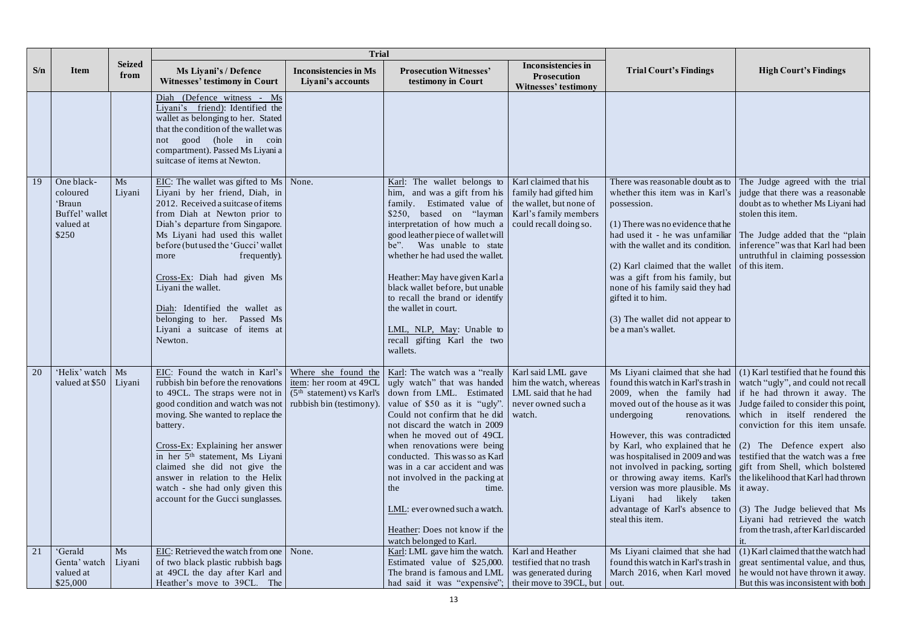|     |                                                                          |                       | <b>Trial</b>                                                                                                                                                                                                                                                                                                                                                                                                                                                                                                                                                                                                                                                 |                                                   |                                                                                                                                                                                                                                                                                                                                                                                                                                                                                         |                                                                                                     |                                                                                                                                                                                                                                                                                                                                                                                                |                                                                                                                                                                                                                                                                                                                                                                                                                                                                                                                                                                                                                                                                                                                                             |
|-----|--------------------------------------------------------------------------|-----------------------|--------------------------------------------------------------------------------------------------------------------------------------------------------------------------------------------------------------------------------------------------------------------------------------------------------------------------------------------------------------------------------------------------------------------------------------------------------------------------------------------------------------------------------------------------------------------------------------------------------------------------------------------------------------|---------------------------------------------------|-----------------------------------------------------------------------------------------------------------------------------------------------------------------------------------------------------------------------------------------------------------------------------------------------------------------------------------------------------------------------------------------------------------------------------------------------------------------------------------------|-----------------------------------------------------------------------------------------------------|------------------------------------------------------------------------------------------------------------------------------------------------------------------------------------------------------------------------------------------------------------------------------------------------------------------------------------------------------------------------------------------------|---------------------------------------------------------------------------------------------------------------------------------------------------------------------------------------------------------------------------------------------------------------------------------------------------------------------------------------------------------------------------------------------------------------------------------------------------------------------------------------------------------------------------------------------------------------------------------------------------------------------------------------------------------------------------------------------------------------------------------------------|
| S/n | <b>Item</b>                                                              | <b>Seized</b><br>from | Ms Liyani's / Defence<br><b>Witnesses' testimony in Court</b>                                                                                                                                                                                                                                                                                                                                                                                                                                                                                                                                                                                                | <b>Inconsistencies in Ms</b><br>Liyani's accounts | <b>Prosecution Witnesses'</b><br>testimony in Court                                                                                                                                                                                                                                                                                                                                                                                                                                     | <b>Inconsistencies in</b><br><b>Prosecution</b><br><b>Witnesses' testimony</b>                      | <b>Trial Court's Findings</b>                                                                                                                                                                                                                                                                                                                                                                  | <b>High Court's Findings</b>                                                                                                                                                                                                                                                                                                                                                                                                                                                                                                                                                                                                                                                                                                                |
|     |                                                                          |                       | Diah (Defence witness - Ms<br>Liyani's friend): Identified the<br>wallet as belonging to her. Stated<br>that the condition of the wallet was<br>good (hole in coin<br>not<br>compartment). Passed Ms Liyani a<br>suitcase of items at Newton.                                                                                                                                                                                                                                                                                                                                                                                                                |                                                   |                                                                                                                                                                                                                                                                                                                                                                                                                                                                                         |                                                                                                     |                                                                                                                                                                                                                                                                                                                                                                                                |                                                                                                                                                                                                                                                                                                                                                                                                                                                                                                                                                                                                                                                                                                                                             |
| 19  | One black-<br>coloured<br>'Braun<br>Buffel' wallet<br>valued at<br>\$250 | Ms<br>Liyani          | $EIC$ : The wallet was gifted to Ms None.<br>Liyani by her friend, Diah, in<br>2012. Received a suitcase of items<br>from Diah at Newton prior to<br>Diah's departure from Singapore.<br>Ms Liyani had used this wallet<br>before (but used the 'Gucci' wallet<br>frequently).<br>more<br>Cross-Ex: Diah had given Ms<br>Liyani the wallet.<br>Diah: Identified the wallet as<br>belonging to her. Passed Ms<br>Liyani a suitcase of items at<br>Newton.                                                                                                                                                                                                     |                                                   | Karl: The wallet belongs to<br>him, and was a gift from his<br>family. Estimated value of<br>\$250, based on "layman   Karl's family members"<br>interpretation of how much a<br>good leather piece of wallet will<br>be". Was unable to state<br>whether he had used the wallet.<br>Heather: May have given Karla<br>black wallet before, but unable<br>to recall the brand or identify<br>the wallet in court.<br>LML, NLP, May: Unable to<br>recall gifting Karl the two<br>wallets. | Karl claimed that his<br>family had gifted him<br>the wallet, but none of<br>could recall doing so. | There was reasonable doubt as to<br>whether this item was in Karl's<br>possession.<br>$(1)$ There was no evidence that he<br>had used it - he was unfamiliar<br>with the wallet and its condition.<br>$(2)$ Karl claimed that the wallet<br>was a gift from his family, but<br>none of his family said they had<br>gifted it to him.<br>(3) The wallet did not appear to<br>be a man's wallet. | The Judge agreed with the trial<br>judge that there was a reasonable<br>doubt as to whether Ms Liyani had<br>stolen this item.<br>The Judge added that the "plain"<br>inference" was that Karl had been<br>untruthful in claiming possession<br>of this item.                                                                                                                                                                                                                                                                                                                                                                                                                                                                               |
| 20  | 'Helix' watch   Ms<br>valued at \$50   Liyani                            |                       | EIC: Found the watch in Karl's   Where she found the   Karl: The watch was a "really   Karl said LML gave<br>rubbish bin before the renovations item: her room at 49CL ugly watch" that was handed him the watch, whereas<br>to 49CL. The straps were not in $\mid$ (5 <sup>th</sup> statement) vs Karl's<br>good condition and watch was not   rubbish bin (testimony)<br>moving. She wanted to replace the<br>battery.<br>$Cross$ - $Ex$ : Explaining her answer<br>in her 5 <sup>th</sup> statement, Ms Liyani<br>claimed she did not give the<br>answer in relation to the Helix<br>watch - she had only given this<br>account for the Gucci sunglasses. |                                                   | down from LML. Estimated   LML said that he had<br>value of \$50 as it is "ugly".<br>Could not confirm that he did<br>not discard the watch in 2009<br>when he moved out of 49CL<br>when renovations were being<br>conducted. This was so as Karl<br>was in a car accident and was<br>not involved in the packing at<br>the<br>time.<br>LML: everowned such a watch.<br>Heather: Does not know if the<br>watch belonged to Karl.                                                        | never owned such a<br>watch.                                                                        | undergoing<br>However, this was contradicted<br>by Karl, who explained that he<br>version was more plausible. Ms it away.<br>Liyani had likely taken<br>advantage of Karl's absence to<br>steal this item.                                                                                                                                                                                     | Ms Liyani claimed that she had $(1)$ Karl testified that he found this<br>found this watch in Karl's trash in   watch "ugly", and could not recall<br>2009, when the family had if he had thrown it away. The<br>moved out of the house as it was   Judge failed to consider this point,<br>renovations. which in itself rendered the<br>conviction for this item unsafe.<br>(2) The Defence expert also<br>was hospitalised in 2009 and was   testified that the watch was a free<br>not involved in packing, sorting gift from Shell, which bolstered<br>or throwing away items. Karl's   the likelihood that Karl had thrown<br>(3) The Judge believed that Ms<br>Liyani had retrieved the watch<br>from the trash, after Karl discarded |
| 21  | 'Gerald<br>Genta' watch<br>valued at<br>\$25,000                         | Ms<br>Liyani          | EIC: Retrieved the watch from one   None.<br>of two black plastic rubbish bags<br>at 49CL the day after Karl and<br>Heather's move to 39CL. The                                                                                                                                                                                                                                                                                                                                                                                                                                                                                                              |                                                   | Karl: LML gave him the watch.<br>Estimated value of \$25,000.<br>The brand is famous and LML<br>had said it was "expensive"; their move to 39CL, but                                                                                                                                                                                                                                                                                                                                    | Karl and Heather<br>testified that no trash<br>was generated during                                 | Ms Liyani claimed that she had<br>found this watch in Karl's trash in<br>out.                                                                                                                                                                                                                                                                                                                  | (1) Karl claimed that the watch had<br>great sentimental value, and thus,<br>March 2016, when Karl moved $\vert$ he would not have thrown it away.<br>But this was inconsistent with both                                                                                                                                                                                                                                                                                                                                                                                                                                                                                                                                                   |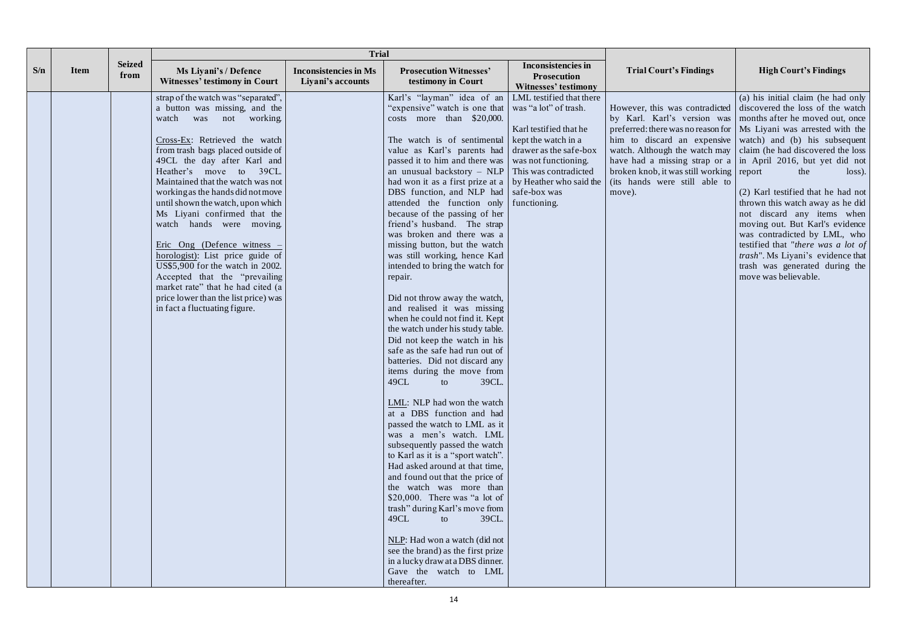|     |             |                       | <b>Trial</b>                                                                                                                                                                                                                                                                                                                                                                                                                                                                                                                                                                                                                                                  |                                                   |                                                                                                                                                                                                                                                                                                                                                                                                                                                                                                                                                                                                                                                                                                                                                                                                                                                                                                                                                                                                                                                                                                                                                                                                                                                                                                                                                                                                                                                   |                                                                                                                                                                        |                                                                                       |                                                                                                                                                                                                                                                                                                                                                                                                                                                                                                                                                                                                                                                                                                                                                                                                                  |
|-----|-------------|-----------------------|---------------------------------------------------------------------------------------------------------------------------------------------------------------------------------------------------------------------------------------------------------------------------------------------------------------------------------------------------------------------------------------------------------------------------------------------------------------------------------------------------------------------------------------------------------------------------------------------------------------------------------------------------------------|---------------------------------------------------|---------------------------------------------------------------------------------------------------------------------------------------------------------------------------------------------------------------------------------------------------------------------------------------------------------------------------------------------------------------------------------------------------------------------------------------------------------------------------------------------------------------------------------------------------------------------------------------------------------------------------------------------------------------------------------------------------------------------------------------------------------------------------------------------------------------------------------------------------------------------------------------------------------------------------------------------------------------------------------------------------------------------------------------------------------------------------------------------------------------------------------------------------------------------------------------------------------------------------------------------------------------------------------------------------------------------------------------------------------------------------------------------------------------------------------------------------|------------------------------------------------------------------------------------------------------------------------------------------------------------------------|---------------------------------------------------------------------------------------|------------------------------------------------------------------------------------------------------------------------------------------------------------------------------------------------------------------------------------------------------------------------------------------------------------------------------------------------------------------------------------------------------------------------------------------------------------------------------------------------------------------------------------------------------------------------------------------------------------------------------------------------------------------------------------------------------------------------------------------------------------------------------------------------------------------|
| S/n | <b>Item</b> | <b>Seized</b><br>from | Ms Liyani's / Defence<br><b>Witnesses' testimony in Court</b>                                                                                                                                                                                                                                                                                                                                                                                                                                                                                                                                                                                                 | <b>Inconsistencies in Ms</b><br>Liyani's accounts | <b>Prosecution Witnesses'</b><br>testimony in Court                                                                                                                                                                                                                                                                                                                                                                                                                                                                                                                                                                                                                                                                                                                                                                                                                                                                                                                                                                                                                                                                                                                                                                                                                                                                                                                                                                                               | <b>Inconsistencies in</b><br><b>Prosecution</b><br><b>Witnesses' testimony</b>                                                                                         | <b>Trial Court's Findings</b>                                                         | <b>High Court's Findings</b>                                                                                                                                                                                                                                                                                                                                                                                                                                                                                                                                                                                                                                                                                                                                                                                     |
|     |             |                       | strap of the watch was "separated",<br>a button was missing, and the<br>watch was not working.<br>Cross-Ex: Retrieved the watch<br>from trash bags placed outside of<br>49CL the day after Karl and<br>Heather's move to 39CL.<br>Maintained that the watch was not<br>working as the hands did not move<br>until shown the watch, upon which<br>Ms Liyani confirmed that the<br>watch hands were moving.<br>Eric Ong (Defence witness<br>horologist): List price guide of<br>US\$5,900 for the watch in 2002.<br>Accepted that the "prevailing<br>market rate" that he had cited (a<br>price lower than the list price) was<br>in fact a fluctuating figure. |                                                   | Karl's "layman" idea of an<br>'expensive'' watch is one that<br>costs more than \$20,000.<br>The watch is of sentimental kept the watch in a<br>value as Karl's parents had<br>passed it to him and there was<br>an unusual backstory - NLP<br>had won it as a first prize at a $\vert$ by Heather who said the<br>DBS function, and NLP had   safe-box was<br>attended the function only<br>because of the passing of her<br>friend's husband. The strap<br>was broken and there was a<br>missing button, but the watch<br>was still working, hence Karl<br>intended to bring the watch for<br>repair.<br>Did not throw away the watch,<br>and realised it was missing<br>when he could not find it. Kept<br>the watch under his study table.<br>Did not keep the watch in his<br>safe as the safe had run out of<br>batteries. Did not discard any<br>items during the move from<br>49CL<br>39CL.<br>to<br>LML: NLP had won the watch<br>at a DBS function and had<br>passed the watch to LML as it<br>was a men's watch. LML<br>subsequently passed the watch<br>to Karl as it is a "sport watch".<br>Had asked around at that time,<br>and found out that the price of<br>the watch was more than<br>\$20,000. There was "a lot of<br>trash" during Karl's move from<br>49CL<br>39CL.<br>to<br>NLP: Had won a watch (did not<br>see the brand) as the first prize<br>in a lucky draw at a DBS dinner.<br>Gave the watch to LML<br>thereafter. | LML testified that there<br>was "a lot" of trash.<br>Karl testified that he<br>drawer as the safe-box<br>was not functioning.<br>This was contradicted<br>functioning. | $broken$ knob, it was still working report<br>(its hands were still able to<br>move). | (a) his initial claim (he had only<br>However, this was contradicted discovered the loss of the watch<br>by Karl. Karl's version was   months after he moved out, once<br>preferred: there was no reason for $\vert$ Ms Liyani was arrested with the<br>him to discard an expensive watch) and (b) his subsequent<br>watch. Although the watch may $\vert$ claim (he had discovered the loss<br>have had a missing strap or a $\vert$ in April 2016, but yet did not<br>the<br>$loss)$ .<br>(2) Karl testified that he had not<br>thrown this watch away as he did<br>not discard any items when<br>moving out. But Karl's evidence<br>was contradicted by LML, who<br>testified that "there was a lot of<br><i>trash</i> ". Ms Liyani's evidence that<br>trash was generated during the<br>move was believable. |